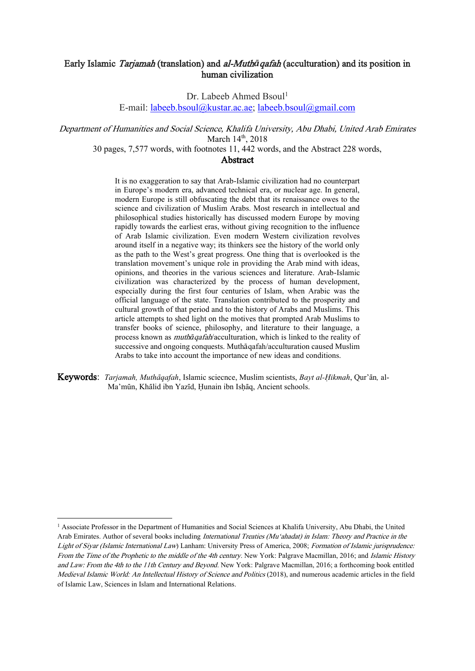# Early Islamic Tarjamah (translation) and al-Muth*ā*qafah (acculturation) and its position in human civilization

Dr. Labeeb Ahmed Bsoul<sup>1</sup>

E-mail: [labeeb.bsoul@kustar.ac.ae;](mailto:labeeb.bsoul@kustar.ac.ae) [labeeb.bsoul@gmail.com](mailto:labeeb.bsoul@gmail.com)

Department of Humanities and Social Science, Khalifa University, Abu Dhabi, United Arab Emirates March  $14<sup>th</sup>$ , 2018

30 pages, 7,577 words, with footnotes 11, 442 words, and the Abstract 228 words,

# Abstract

It is no exaggeration to say that Arab-Islamic civilization had no counterpart in Europe's modern era, advanced technical era, or nuclear age. In general, modern Europe is still obfuscating the debt that its renaissance owes to the science and civilization of Muslim Arabs. Most research in intellectual and philosophical studies historically has discussed modern Europe by moving rapidly towards the earliest eras, without giving recognition to the influence of Arab Islamic civilization. Even modern Western civilization revolves around itself in a negative way; its thinkers see the history of the world only as the path to the West's great progress. One thing that is overlooked is the translation movement's unique role in providing the Arab mind with ideas, opinions, and theories in the various sciences and literature. Arab-Islamic civilization was characterized by the process of human development, especially during the first four centuries of Islam, when Arabic was the official language of the state. Translation contributed to the prosperity and cultural growth of that period and to the history of Arabs and Muslims. This article attempts to shed light on the motives that prompted Arab Muslims to transfer books of science, philosophy, and literature to their language, a process known as muth*ā*qafah/acculturation, which is linked to the reality of successive and ongoing conquests. Muthāqafah/acculturation caused Muslim Arabs to take into account the importance of new ideas and conditions.

Keywords: *Tarjamah, Muthāqafah*, Islamic sciecnce, Muslim scientists, *Bayt al-Ḥikmah*, Qur'ān, al-Ma'mūn, Khālid ibn Yazīd, Hunain ibn Ishāq, Ancient schools.

<sup>1</sup> Associate Professor in the Department of Humanities and Social Sciences at Khalifa University, Abu Dhabi, the United Arab Emirates. Author of several books including International Treaties (Mu'ahadat) in Islam: Theory and Practice in the Light of Siyar (Islamic International Law) Lanham: University Press of America, 2008; Formation of Islamic jurisprudence: From the Time of the Prophetic to the middle of the 4th century. New York: Palgrave Macmillan, 2016; and Islamic History and Law: From the 4th to the 11th Century and Beyond. New York: Palgrave Macmillan, 2016; a forthcoming book entitled Medieval Islamic World: An Intellectual History of Science and Politics (2018), and numerous academic articles in the field of Islamic Law, Sciences in Islam and International Relations.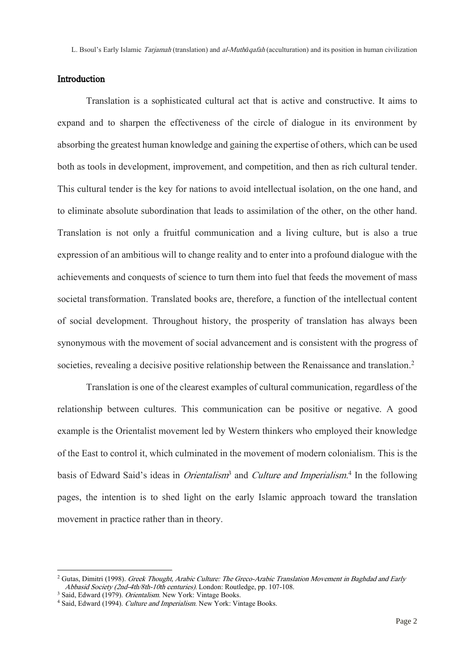# Introduction

Translation is a sophisticated cultural act that is active and constructive. It aims to expand and to sharpen the effectiveness of the circle of dialogue in its environment by absorbing the greatest human knowledge and gaining the expertise of others, which can be used both as tools in development, improvement, and competition, and then as rich cultural tender. This cultural tender is the key for nations to avoid intellectual isolation, on the one hand, and to eliminate absolute subordination that leads to assimilation of the other, on the other hand. Translation is not only a fruitful communication and a living culture, but is also a true expression of an ambitious will to change reality and to enter into a profound dialogue with the achievements and conquests of science to turn them into fuel that feeds the movement of mass societal transformation. Translated books are, therefore, a function of the intellectual content of social development. Throughout history, the prosperity of translation has always been synonymous with the movement of social advancement and is consistent with the progress of societies, revealing a decisive positive relationship between the Renaissance and translation.<sup>2</sup>

Translation is one of the clearest examples of cultural communication, regardless of the relationship between cultures. This communication can be positive or negative. A good example is the Orientalist movement led by Western thinkers who employed their knowledge of the East to control it, which culminated in the movement of modern colonialism. This is the basis of Edward Said's ideas in *Orientalism*<sup>3</sup> and *Culture and Imperialism*.<sup>4</sup> In the following pages, the intention is to shed light on the early Islamic approach toward the translation movement in practice rather than in theory.

l

<sup>&</sup>lt;sup>2</sup> Gutas, Dimitri (1998). Greek Thought, Arabic Culture: The Greco-Arabic Translation Movement in Baghdad and Early Abbasid Society (2nd-4th/8th-10th centuries). London: Routledge, pp. 107-108.

<sup>&</sup>lt;sup>3</sup> Said, Edward (1979). *Orientalism*. New York: Vintage Books.

<sup>&</sup>lt;sup>4</sup> Said, Edward (1994). Culture and Imperialism. New York: Vintage Books.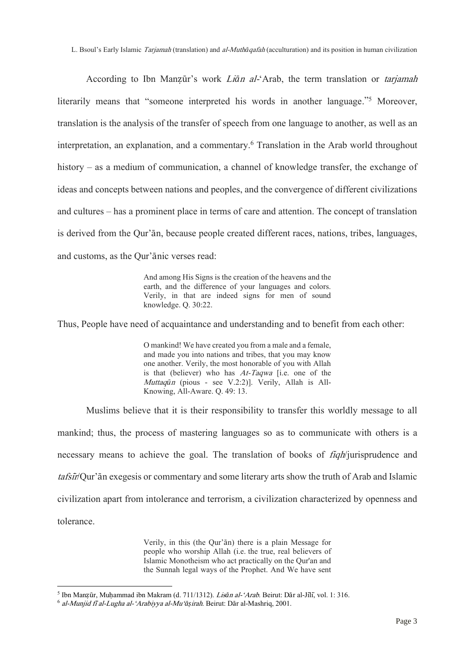L. Bsoul's Early Islamic Tarjamah (translation) and al-Muth*ā*qafah (acculturation) and its position in human civilization

According to Ibn Manzūr's work *Liān al*-'Arab, the term translation or *tarjamah* literarily means that "someone interpreted his words in another language."<sup>5</sup> Moreover, translation is the analysis of the transfer of speech from one language to another, as well as an interpretation, an explanation, and a commentary.<sup>6</sup> Translation in the Arab world throughout history – as a medium of communication, a channel of knowledge transfer, the exchange of ideas and concepts between nations and peoples, and the convergence of different civilizations and cultures – has a prominent place in terms of care and attention. The concept of translation is derived from the Qur'ān, because people created different races, nations, tribes, languages, and customs, as the Qur'ānic verses read:

> And among His Signs is the creation of the heavens and the earth, and the difference of your languages and colors. Verily, in that are indeed signs for men of sound knowledge. Q. 30:22.

Thus, People have need of acquaintance and understanding and to benefit from each other:

O mankind! We have created you from a male and a female, and made you into nations and tribes, that you may know one another. Verily, the most honorable of you with Allah is that (believer) who has At-Taqwa [i.e. one of the Muttaq*ū*<sup>n</sup> (pious - see V.2:2)]. Verily, Allah is All-Knowing, All-Aware. Q. 49: 13.

Muslims believe that it is their responsibility to transfer this worldly message to all mankind; thus, the process of mastering languages so as to communicate with others is a necessary means to achieve the goal. The translation of books of *figh*/jurisprudence and tafsi*̄*r/Qur'ān exegesis or commentary and some literary arts show the truth of Arab and Islamic civilization apart from intolerance and terrorism, a civilization characterized by openness and tolerance.

> Verily, in this (the Qur'ān) there is a plain Message for people who worship Allah (i.e. the true, real believers of Islamic Monotheism who act practically on the Qur'an and the Sunnah legal ways of the Prophet. And We have sent

<sup>5</sup> Ibn Manẓūr, Muḥammad ibn Makram (d. 711/1312). Lis*ā*n al-'Arab. Beirut: Dār al-Jīlī, vol. 1: 316.

<sup>6</sup> al-Munjid fi*̄*al-Lugha al-'Arabiyya al-Mu'*āṣ*irah. Beirut: Dār al-Mashriq, 2001.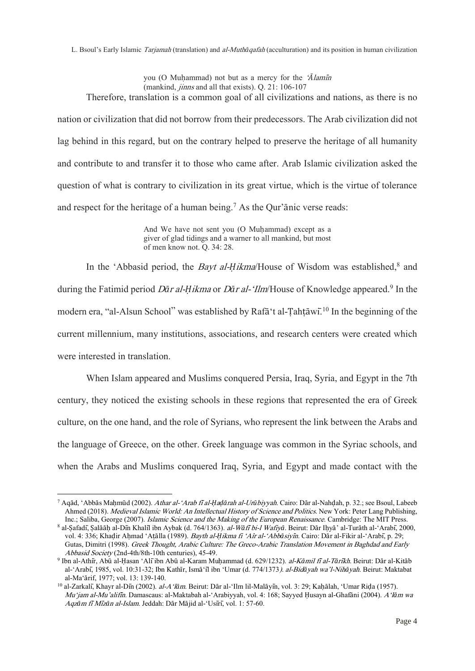L. Bsoul's Early Islamic Tarjamah (translation) and al-Muth*ā*qafah (acculturation) and its position in human civilization

you (O Muḥammad) not but as a mercy for the '*Ā*lami*̄*<sup>n</sup> (mankind, jinns and all that exists). Q. 21: 106-107 Therefore, translation is a common goal of all civilizations and nations, as there is no

nation or civilization that did not borrow from their predecessors. The Arab civilization did not lag behind in this regard, but on the contrary helped to preserve the heritage of all humanity and contribute to and transfer it to those who came after. Arab Islamic civilization asked the question of what is contrary to civilization in its great virtue, which is the virtue of tolerance and respect for the heritage of a human being.<sup>7</sup> As the Our'anic verse reads:

> And We have not sent you (O Muḥammad) except as a giver of glad tidings and a warner to all mankind, but most of men know not. Q. 34: 28.

In the 'Abbasid period, the *Bayt al-Ḥikma*/House of Wisdom was established,<sup>8</sup> and during the Fatimid period D*ā*r al-*Ḥ*ikma or D*ā*r al-'Ilm/House of Knowledge appeared.<sup>9</sup> In the modern era, "al-Alsun School" was established by Rafā t al-Tahṭāwī.<sup>10</sup> In the beginning of the current millennium, many institutions, associations, and research centers were created which were interested in translation.

When Islam appeared and Muslims conquered Persia, Iraq, Syria, and Egypt in the 7th century, they noticed the existing schools in these regions that represented the era of Greek culture, on the one hand, and the role of Syrians, who represent the link between the Arabs and the language of Greece, on the other. Greek language was common in the Syriac schools, and when the Arabs and Muslims conquered Iraq, Syria, and Egypt and made contact with the

<sup>7</sup> Aqād, 'Abbās Maḥmūd (2002). Athar al-'Arab fi*̄*al-*Ḥ*a*ḍā*rah al-Ur*ū*biyyah. Cairo: Dār al-Nahḍah, p. 32.; see Bsoul, Labeeb Ahmed (2018). Medieval Islamic World: An Intellectual History of Science and Politics. New York: Peter Lang Publishing, Inc.; Saliba, George (2007). Islamic Science and the Making of the European Renaissance. Cambridge: The MIT Press.

<sup>8</sup> al-Ṣafadī, Ṣalāāḥ al-Dīn Khalīl ibn Aybak (d. 764/1363). al-W*ā*fi*̄*bi-l Wafiy*ā*. Beirut: Dār Iḥyā' al-Turāth al-'Arabī, 2000, vol. 4: 336; Khaḍir Aḥmad 'Aṭālla (1989). Bayth al-*Ḥ*ikma fi 'Aîr al-'Abb*ā*siyi*̄*n. Cairo: Dār al-Fikir al-'Arabī, p. 29; Gutas, Dimitri (1998). Greek Thought, Arabic Culture: The Greco-Arabic Translation Movement in Baghdad and Early Abbasid Society (2nd-4th/8th-10th centuries), 45-49.

<sup>9</sup> Ibn al-Athīr, Abū al-Ḥasan 'Alīibn Abū al-Karam Muḥammad (d. 629/1232). al-K*ā*mil fi*̄*al-T*ā*ri*̄*kh. Beirut: Dār al-Kitāb al-'Arabī, 1985, vol. 10:31-32; Ibn Kathīr, Ismā'īl ibn 'Umar (d. 774/1373). al-Bid*ā*yah wa'l-Nih*ā*yah. Beirut: Maktabat al-Ma'ārif, 1977; vol. 13: 139-140.

<sup>10</sup> al-Zarkalī, Khayr al-Dīn (2002). al-A'l*ā*m. Beirut: Dār al-'Ilm lil-Malāyīn, vol. 3: 29; Kaḥālah, 'Umar Riḍa (1957). Mu'jam al-Mu'alifi*̄*n. Damascaus: al-Maktabah al-'Arabiyyah, vol. 4: 168; Sayyed Ḥusayn al-Ghafāni (2004). A'l*ā*m wa Aqz*ā*m fi*̄*Mi*̄*z*ā*n al-Islam. Jeddah: Dār Mājid al-'Usīrī, vol. 1: 57-60.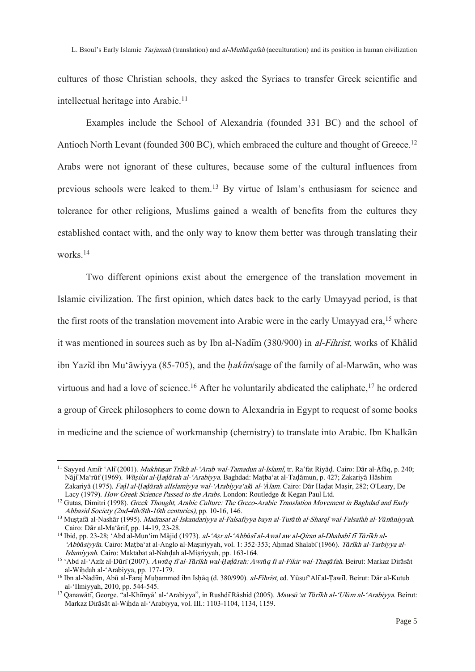cultures of those Christian schools, they asked the Syriacs to transfer Greek scientific and intellectual heritage into Arabic.<sup>11</sup>

Examples include the School of Alexandria (founded 331 BC) and the school of Antioch North Levant (founded 300 BC), which embraced the culture and thought of Greece.<sup>12</sup> Arabs were not ignorant of these cultures, because some of the cultural influences from previous schools were leaked to them.<sup>13</sup> By virtue of Islam's enthusiasm for science and tolerance for other religions, Muslims gained a wealth of benefits from the cultures they established contact with, and the only way to know them better was through translating their works.<sup>14</sup>

Two different opinions exist about the emergence of the translation movement in Islamic civilization. The first opinion, which dates back to the early Umayyad period, is that the first roots of the translation movement into Arabic were in the early Umayyad era,<sup>15</sup> where it was mentioned in sources such as by Ibn al-Nadīm (380/900) in al-Fihrist, works of Khālid ibn Yazīd ibn Mu'āwiyya (85-705), and the *ḥ*aki*̄*m/sage of the family of al-Marwān, who was virtuous and had a love of science.<sup>16</sup> After he voluntarily abdicated the caliphate,<sup>17</sup> he ordered a group of Greek philosophers to come down to Alexandria in Egypt to request of some books in medicine and the science of workmanship (chemistry) to translate into Arabic. Ibn Khalkān

<sup>11</sup> Sayyed Amīr 'Alī(2001). Mukhta*ṣ*ar Tri*̄*kh al-'Arab wal-Tamadun al-Islami*̄*, tr. Ra'fat Riyāḍ. Cairo: Dār al-Āfāq, p. 240; NājīMa'rūf (1969). W*āṣ*ilat al-*Ḥ*a*ḍā*rah al-'Arabiyya. Baghdad: Maṭba'at al-Taḍāmun, p. 427; Zakariyā Hāshim Zakariyā (1975). Fa*ḍ*l al-*Ḥ*a*ḍā*rah alIslamiyya wal-'Arabiyya'al*ā* al-'*Ā*lam. Cairo: Dār Haḍat Maṣir, 282; O'Leary, De Lacy (1979). How Greek Science Passed to the Arabs. London: Routledge & Kegan Paul Ltd.

<sup>&</sup>lt;sup>12</sup> Gutas, Dimitri (1998). Greek Thought, Arabic Culture: The Greco-Arabic Translation Movement in Baghdad and Early Abbasid Society (2nd-4th/8th-10th centuries), pp. 10-16, 146.

<sup>13</sup> Muṣṭafā al-Nashār (1995). Madrasat al-Iskandariyya al-Falsafiyya bayn al-Tur*ā*th al-Sharqi*̄*wal-Falsafah al-Y*ū*n*ā*niyyah. Cairo: Dār al-Ma'ārif, pp. 14-19, 23-28.

<sup>14</sup> Ibid, pp. 23-28; 'Abd al-Mun'im Mājid (1973). al-'A*ṣ*r al-'Abb*ā*si*̄*al-Awal aw al-Qiran al-Dhahabi*̄*fi*̄*T*ā*ri*̄*kh al- 'Abb*ā*siyyi*̄*n. Cairo: Maṭba'at al-Anglo al-Maṣiriyyah, vol. 1: 352-353; Aḥmad Shalabī(1966). T*ā*ri*̄*kh al-Tarbiyya al-Islamiyyah. Cairo: Maktabat al-Nahḍah al-Miṣriyyah, pp. 163-164.

<sup>15</sup> 'Abd al-'Azīz al-Dūrī(2007). Awr*ā*q fi*̄*al-T*ā*ri*̄*kh wal-*Ḥ*a*ḍā*rah: Awr*ā*q fi al-Fikir wal-Thaq*ā*fah. Beirut: Markaz Dirāsāt al-Wiḥdah al-'Arabiyya, pp. 177-179.

<sup>&</sup>lt;sup>16</sup> Ibn al-Nadīm, Abū al-Faraj Muḥammed ibn Isḥāq (d. 380/990). al-Fihrist, ed. Yūsuf Alī al-Țawīl. Beirut: Dār al-Kutub al-'Ilmiyyah, 2010, pp. 544-545.

<sup>17</sup> Qanawātī, George. "al-Khīmyā' al-'Arabiyya", in RushdīRāshid (2005). Maws*ū*'at T*ā*ri*̄*kh al-'Ul*ū*m al-'Arabiyya. Beirut: Markaz Dirāsāt al-Wiḥda al-'Arabiyya, vol. III.: 1103-1104, 1134, 1159.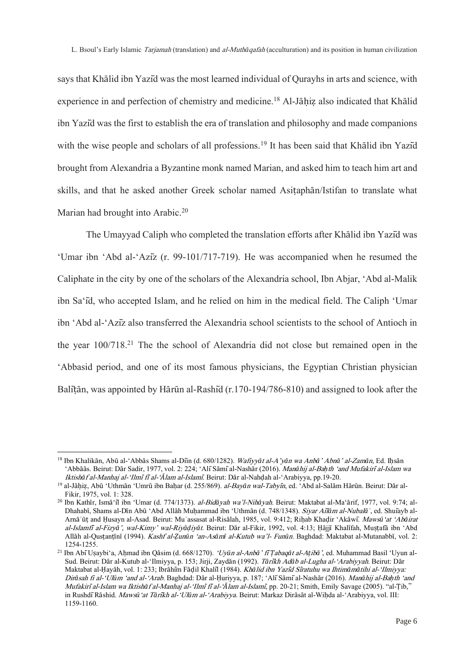says that Khālid ibn Yazīd was the most learned individual of Qurayhs in arts and science, with experience in and perfection of chemistry and medicine.<sup>18</sup> Al-Jāhiz also indicated that Khālid ibn Yazīd was the first to establish the era of translation and philosophy and made companions with the wise people and scholars of all professions.<sup>19</sup> It has been said that Khālid ibn Yazīd brought from Alexandria a Byzantine monk named Marian, and asked him to teach him art and skills, and that he asked another Greek scholar named Asiṭaphān/Istifan to translate what Marian had brought into Arabic.<sup>20</sup>

The Umayyad Caliph who completed the translation efforts after Khālid ibn Yazīd was 'Umar ibn 'Abd al-'Azīz (r. 99-101/717-719). He was accompanied when he resumed the Caliphate in the city by one of the scholars of the Alexandria school, Ibn Abjar, 'Abd al-Malik ibn Sa'īd, who accepted Islam, and he relied on him in the medical field. The Caliph 'Umar ibn 'Abd al-'Azīz also transferred the Alexandria school scientists to the school of Antioch in the year 100/718.<sup>21</sup> The the school of Alexandria did not close but remained open in the 'Abbasid period, and one of its most famous physicians, the Egyptian Christian physician Balitān, was appointed by Hārūn al-Rashīd (r.170-194/786-810) and assigned to look after the

<sup>18</sup> Ibn Khalikān, Abū al-'Abbās Shams al-Dīin (d. 680/1282). Wafiyy*ā*t al-A'y*ā*n wa Anb*ā*' Abn*ā*' al-Zam*ā*n, Ed. Iḥsān 'Abbāās. Beirut: Dār Sadir, 1977, vol. 2: 224; 'AlīSāmīal-Nashār (2016). Man*ā*hij al-Ba*ḥ*th 'and Mufakiri*̄*al-Islam wa Iktish*ā*f al-Manhaj al-'Ilmi*̄*fi*̄*al-'*Ā*lam al-Islami*̄*. Beirut: Dār al-Nahḍah al-'Arabiyya, pp.19-20.

<sup>19</sup> al-Jāḥiẓ, Abū 'Uthmān 'Umrū ibn Baḥar (d. 255/869). al-Bay*ā*n wal-Tabyi*̄*n, ed. 'Abd al-Salām Hārūn. Beirut: Dār al-Fikir, 1975, vol. 1: 328.

<sup>20</sup> Ibn Kathīr, Ismā'īl ibn 'Umar (d. 774/1373). al-Bid*ā*yah wa'l-Nih*ā*yah. Beirut: Maktabat al-Ma'ārif, 1977, vol. 9:74; al-Dhahabī, Shams al-Dīn Abū 'Abd Allāh Muḥammad ibn 'Uthmān (d. 748/1348). Siyar Ai*̄*l*ā*m al-Nubal*āʾ*, ed. Shuīayb al-Arnāʾūṭ and Ḥusayn al-Asad. Beirut: Muʾassasat al-Risālah, 1985, vol. 9:412; Riḥab Khaḍir 'Akāwī. Maws*ū*'at 'Ab*ā*irat al-Islamfi*̄*al-Fizy*ā*', wal-Kimy' wal-Riy*āḍ*iy*ā*t. Beirut: Dār al-Fikir, 1992, vol. 4:13; Ḥājjī Khalīfah, Muṣṭafā ibn 'Abd Allāh al-Qusṭanṭīnī (1994). Kashf al-*Ẓ*un*ū*n 'an-As*ā*m*ī* al-Kutub wa'l- Fun*ū*n. Baghdad: Maktabat al-Mutanabbī, vol. 2: 1254-1255.

<sup>21</sup> Ibn AbīUṣaybi'a, Aḥmad ibn Qāsim (d. 668/1270). 'Uy*ū*n al-Anb*ā*' fi*̄Ṭ*abaq*ā*t al-A*ṭ*ib*ā*', ed. Muhammad Basil 'Uyun al-Sud. Beirut: Dār al-Kutub al-'Ilmiyya, p. 153; Jirji, Zaydān (1992). T*ā*ri*̄*kh Ad*ā*b al-Lugha al-'Arabiyyah. Beirut: Dār Maktabat al-Ḥayāh, vol. 1: 233; Ibrāhīm Fāḍil Khalīl (1984). Kh*ā*lid ibn Yazi*̄*d Si*̄*ratuhu wa Ihtim*ā*m*ā*tihi al-'Ilmiyya: Dir*ā*sah fi al-'Ul*ū*m 'and al-'Arab. Baghdad: Dār al-Ḥuriyya, p. 187; 'AlīSāmīal-Nashār (2016). Man*ā*hij al-Ba*ḥ*th 'and Mufakiri*̄*al-Islam wa Iktish*ā*f al-Manhaj al-'Ilmi*̄*fi*̄*al-'*Ā*lam al-Islami*̄*, pp. 20-21; Smith, Emily Savage (2005). "al-Ṭib," in RushdīRāshid. Maws*ū*'at T*ā*ri*̄*kh al-'Ul*ū*m al-'Arabiyya. Beirut: Markaz Dirāsāt al-Wiḥda al-'Arabiyya, vol. III: 1159-1160.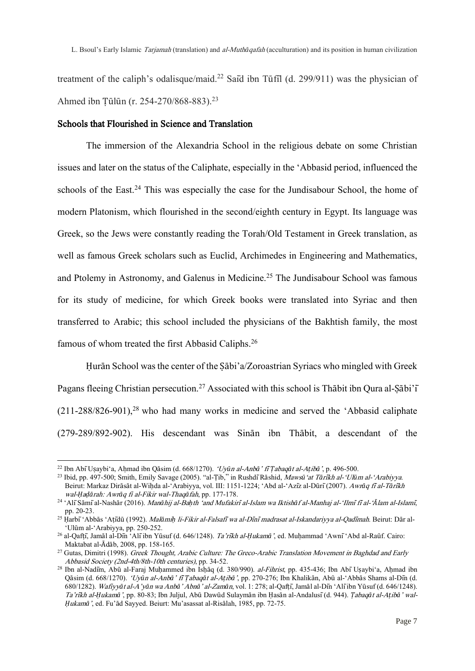treatment of the caliph's odalisque/maid.<sup>22</sup> Said ibn Tūfil (d. 299/911) was the physician of Ahmed ibn Ṭūlūn (r. 254-270/868-883).<sup>23</sup>

## Schools that Flourished in Science and Translation

The immersion of the Alexandria School in the religious debate on some Christian issues and later on the status of the Caliphate, especially in the 'Abbasid period, influenced the schools of the East.<sup>24</sup> This was especially the case for the Jundisabour School, the home of modern Platonism, which flourished in the second/eighth century in Egypt. Its language was Greek, so the Jews were constantly reading the Torah/Old Testament in Greek translation, as well as famous Greek scholars such as Euclid, Archimedes in Engineering and Mathematics, and Ptolemy in Astronomy, and Galenus in Medicine.<sup>25</sup> The Jundisabour School was famous for its study of medicine, for which Greek books were translated into Syriac and then transferred to Arabic; this school included the physicians of the Bakhtish family, the most famous of whom treated the first Abbasid Caliphs.<sup>26</sup>

Ḥurān School was the center of the Ṣābi'a/Zoroastrian Syriacs who mingled with Greek Pagans fleeing Christian persecution.<sup>27</sup> Associated with this school is Thābit ibn Qura al-Sābi' $\overline{1}$  $(211-288/826-901)$ ,<sup>28</sup> who had many works in medicine and served the 'Abbasid caliphate' (279-289/892-902). His descendant was Sinān ibn Thābit, a descendant of the

<sup>22</sup> Ibn AbīUṣaybi'a, Aḥmad ibn Qāsim (d. 668/1270). 'Uy*ū*n al-Anb*ā*' fi*̄Ṭ*abaq*ā*t al-A*ṭ*ib*ā*', p. 496-500.

<sup>23</sup> Ibid, pp. 497-500; Smith, Emily Savage (2005). "al-Ṭib," in RushdīRāshid, Maws*ū*'at T*ā*ri*̄*kh al-'Ul*ū*m al-'Arabiyya. Beirut: Markaz Dirāsāt al-Wiḥda al-'Arabiyya, vol. III: 1151-1224; 'Abd al-'Azīz al-Dūrī(2007). Awr*ā*q fi*̄*al-T*ā*ri*̄*kh wal-*Ḥ*a*ḍā*rah: Awr*ā*q fi al-Fikir wal-Thaq*ā*fah, pp. 177-178.

<sup>24</sup> 'AlīSāmīal-Nashār (2016). Man*ā*hij al-Ba*ḥ*th 'and Mufakiri*̄*al-Islam wa Iktish*ā*f al-Manhaj al-'Ilmi*̄*fi*̄*al-'*Ā*lam al-Islami*̄*, pp. 20-23.

<sup>25</sup> Ḥarbī'Abbās 'Aṭīdū (1992). Mal*ā*mi*ḥ* li-Fikir al-Falsafi*̄*wa al-Di*̄*ni*̄*madrasat al-Iskandariyya al-Qadi*̄*mah. Beirut: Dār al- 'Ulūm al-'Arabiyya, pp. 250-252.

<sup>26</sup> al-Qafṭī, Jamāl al-Dīn 'Alīibn Yūsuf (d. 646/1248). Ta'ri*̄*kh al-*Ḥ*ukam*ā*', ed. Muḥammad 'Awnī'Abd al-Raūf. Cairo: Maktabat al-Ādāb, 2008, pp. 158-165.

<sup>&</sup>lt;sup>27</sup> Gutas, Dimitri (1998). Greek Thought, Arabic Culture: The Greco-Arabic Translation Movement in Baghdad and Early Abbasid Society (2nd-4th/8th-10th centuries), pp. 34-52.

<sup>28</sup> Ibn al-Nadīm, Abū al-Faraj Muḥammed ibn Isḥāq (d. 380/990). al-Fihrist, pp. 435-436; Ibn AbīUṣaybi'a, Aḥmad ibn Qāsim (d. 668/1270). 'Uy*ū*n al-Anb*ā*' fi*̄Ṭ*abaq*ā*t al-A*ṭ*ib*ā*', pp. 270-276; Ibn Khalikān, Abū al-'Abbās Shams al-Dīn (d. 680/1282). Wafiyy*ā*t al-A'y*ā*n wa Anb*ā*' Abn*ā*' al-Zam*ā*n, vol. 1: 278; al-Qafṭī, Jamāl al-Dīn 'Alīibn Yūsuf (d. 646/1248). Ta'ri*̄*kh al-*Ḥ*ukam*ā*', pp. 80-83; Ibn Juljul, Abū Dawūd Sulaymān ibn Ḥasān al-Andalusī(d. 944). *Ṭ*abaq*ā*t al-A*ṭ*ib*ā*' wal-*Ḥ*ukam*ā*', ed. Fu'ād Sayyed. Beiurt: Mu'asassat al-Risālah, 1985, pp. 72-75.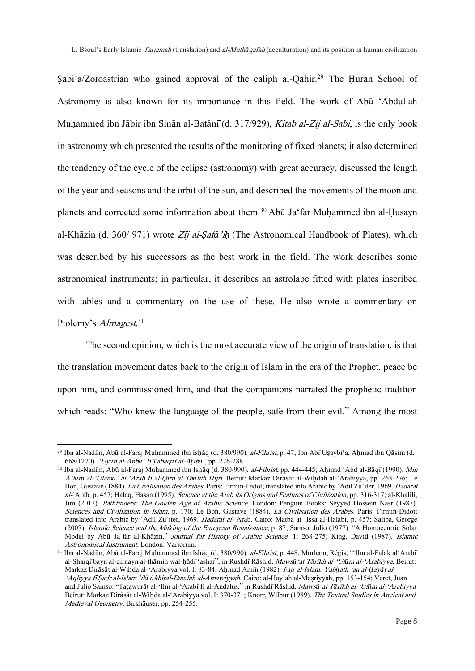Sābi'a/Zoroastrian who gained approval of the caliph al-Qāhir.<sup>29</sup> The Hurān School of Astronomy is also known for its importance in this field. The work of Abū 'Abdullah Muhammed ibn Jābir ibn Sinān al-Batānī (d. 317/929), Kitab al-Zij al-Sabi, is the only book in astronomy which presented the results of the monitoring of fixed planets; it also determined the tendency of the cycle of the eclipse (astronomy) with great accuracy, discussed the length of the year and seasons and the orbit of the sun, and described the movements of the moon and planets and corrected some information about them.<sup>30</sup> Abū Ja'far Muḥammed ibn al-Ḥusayn al-Khāzin (d. 360/ 971) wrote <sup>Z</sup>i*̄*j al-*Ṣ*af*ā*'i*ḥ* (The Astronomical Handbook of Plates), which was described by his successors as the best work in the field. The work describes some astronomical instruments; in particular, it describes an astrolabe fitted with plates inscribed with tables and a commentary on the use of these. He also wrote a commentary on Ptolemy's *Almagest*.<sup>31</sup>

The second opinion, which is the most accurate view of the origin of translation, is that the translation movement dates back to the origin of Islam in the era of the Prophet, peace be upon him, and commissioned him, and that the companions narrated the prophetic tradition which reads: "Who knew the language of the people, safe from their evil." Among the most

<sup>&</sup>lt;sup>29</sup> Ibn al-Nadīm, Abū al-Faraj Muhammed ibn Ishāq (d. 380/990). *al-Fihrist*, p. 47; Ibn Abī Usaybi'a, Ahmad ibn Qāsim (d. 668/1270). 'Uy*ū*n al-Anb*ā*' fi*̄Ṭ*abaq*ā*t al-A*ṭ*ib*ā*', pp. 276-288.

<sup>&</sup>lt;sup>30</sup> Ibn al-Nadīm, Abū al-Faraj Muhammed ibn Ishāq (d. 380/990). *al-Fihrist*, pp. 444-445; Aḥmad 'Abd al-Bāqī (1990). Min A'l*ā*m al-'Ulam*ā*' al-'Arab fi*̄*al-Qirn al-Th*ā*lith Hijri*̄*. Beirut: Markaz Dirāsāt al-Wiḥdah al-'Arabiyya, pp. 263-276; Le Bon, Gustave (1884). La Civilisation des Arabes. Paris: Firmin-Didot; translated into Arabic by `Adil Zu`iter, 1969. Hadarat al-`Arab, p. 457; Halaq, Hasan (1995). Science at the Arab its Origins and Features of Civilization, pp. 316-317; al-Khalili, Jim (2012). Pathfinders: The Golden Age of Arabic Science. London: Penguin Books; Seyyed Hossein Nasr (1987). Sciences and Civilization in Islam, p. 170; Le Bon, Gustave (1884). La Civilisation des Arabes. Paris: Firmin-Didot; translated into Arabic by ʿAdil Zuʿiter, 1969. Hadarat al-*ʿ*Arab, Cairo: Matbaʿat ʿIssa al-Halabi, p. 457; Saliba, George (2007). Islamic Science and the Making of the European Renaissance, p. 87; Samso, Julio (1977). "A Homocentric Solar Model by Abū Ja'far al-Khāzin," Journal for History of Arabic Science. 1: 268-275; King, David (1987). Islamic Astronomical Instrument. London: Variorum.

<sup>&</sup>lt;sup>31</sup> Ibn al-Nadīm, Abū al-Faraj Muḥammed ibn Isḥāq (d. 380/990). al-Fihrist, p. 448; Morleon, Régis, "'Ilm al-Falak al'Arabī al-Sharqībayn al-qirnayn al-thāmin wal-ḥādī'ashar", in RushdīRāshid. Maws*ū*'at T*ā*ri*̄*kh al-'Ul*ū*m al-'Arabiyya. Beirut: Markaz Dirāsāt al-Wiḥda al-'Arabiyya vol. I: 83-84; Aḥmad Amīn (1982). Fajr al-Islam: Yab*ḥ*ath 'an al-*Ḥ*ay*ā*t al- 'Aqliyya fi*̄Ṣ*adr al-Islam 'il*ā ā*khiral-Dawlah al-Amawiyyah. Cairo: al-Hay'ah al-Maṣriyyah, pp. 153-154; Veret, Juan and Julio Samso. "Taṭawurāt al-'Ilm al-'Arabīfi al-Andalus," in RushdīRāshid. Maws*ū*'at T*ā*ri*̄*kh al-'Ul*ū*m al-'Arabiyya Beirut: Markaz Dirāsāt al-Wihda al-'Arabiyya vol. I: 370-371; Knorr, Wilbur (1989). The Textual Studies in Ancient and Medieval Geometry. Birkhäuser, pp. 254-255.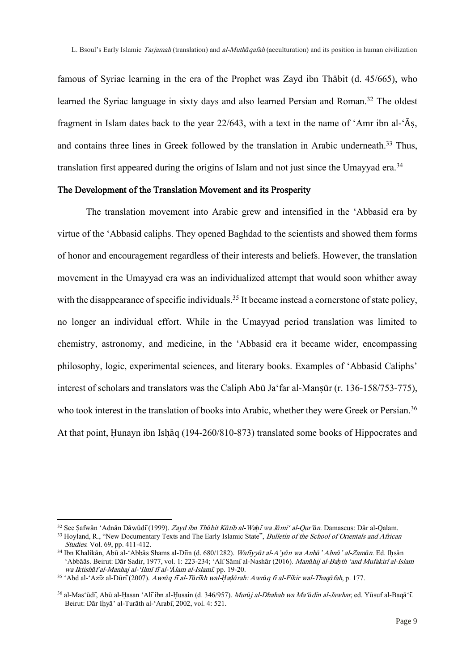famous of Syriac learning in the era of the Prophet was Zayd ibn Thābit (d. 45/665), who learned the Syriac language in sixty days and also learned Persian and Roman.<sup>32</sup> The oldest fragment in Islam dates back to the year 22/643, with a text in the name of 'Amr ibn al-'Āṣ, and contains three lines in Greek followed by the translation in Arabic underneath.<sup>33</sup> Thus, translation first appeared during the origins of Islam and not just since the Umavyad era.<sup>34</sup>

#### The Development of the Translation Movement and its Prosperity

The translation movement into Arabic grew and intensified in the 'Abbasid era by virtue of the 'Abbasid caliphs. They opened Baghdad to the scientists and showed them forms of honor and encouragement regardless of their interests and beliefs. However, the translation movement in the Umayyad era was an individualized attempt that would soon whither away with the disappearance of specific individuals.<sup>35</sup> It became instead a cornerstone of state policy, no longer an individual effort. While in the Umayyad period translation was limited to chemistry, astronomy, and medicine, in the 'Abbasid era it became wider, encompassing philosophy, logic, experimental sciences, and literary books. Examples of 'Abbasid Caliphs' interest of scholars and translators was the Caliph Abū Ja'far al-Mansūr (r. 136-158/753-775), who took interest in the translation of books into Arabic, whether they were Greek or Persian.<sup>36</sup> At that point, Ḥunayn ibn Isḥāq (194-260/810-873) translated some books of Hippocrates and

<sup>32</sup> See Ṣafwān 'Adnān Dāwūdī(1999). Zayd ibn Th*ā*bit K*ā*tib al-Wa*ḥ*i*̄*wa J*ā*mi' al-Qur'*ā*n. Damascus: Dār al-Qalam.

<sup>&</sup>lt;sup>33</sup> Hoyland, R., "New Documentary Texts and The Early Islamic State", Bulletin of the School of Orientals and African Studies. Vol. 69, pp. 411-412.

<sup>34</sup> Ibn Khalikān, Abū al-'Abbās Shams al-Dīin (d. 680/1282). Wafiyy*ā*t al-A'y*ā*n wa Anb*ā*' Abn*ā*' al-Zam*ā*n. Ed. Iḥsān 'Abbāās. Beirut: Dār Sadir, 1977, vol. 1: 223-234; 'AlīSāmīal-Nashār (2016). Man*ā*hij al-Ba*ḥ*th 'and Mufakiri*̄*al-Islam wa Iktish*ā*f al-Manhaj al-'Ilmi*̄*fi*̄*al-'*Ā*lam al-Islami*̄*. pp. 19-20.

<sup>35</sup> 'Abd al-'Azīz al-Dūrī(2007). Awr*ā*q fi*̄*al-T*ā*ri*̄*kh wal-*Ḥ*a*ḍā*rah: Awr*ā*q fi al-Fikir wal-Thaq*ā*fah, p. 177.

<sup>36</sup> al-Mas'ūdī, Abū al-Ḥasan 'Alīibn al-Ḥusain (d. 346/957). Mur*ū*j al-Dhahab wa Ma'*ā*din al-Jawhar, ed. Yūsuf al-Baqā'ī. Beirut: Dār Iḥyā' al-Turāth al-'Arabī, 2002, vol. 4: 521.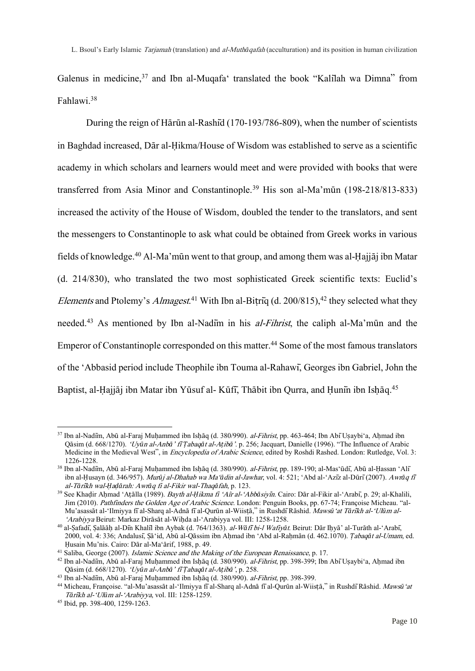Galenus in medicine,<sup>37</sup> and Ibn al-Muqafa' translated the book "Kalilah wa Dimna" from Fahlawi.<sup>38</sup>

During the reign of Hārūn al-Rashīd (170-193/786-809), when the number of scientists in Baghdad increased, Dār al-Ḥikma/House of Wisdom was established to serve as a scientific academy in which scholars and learners would meet and were provided with books that were transferred from Asia Minor and Constantinople.<sup>39</sup> His son al-Ma'mūn (198-218/813-833) increased the activity of the House of Wisdom, doubled the tender to the translators, and sent the messengers to Constantinople to ask what could be obtained from Greek works in various fields of knowledge.<sup>40</sup> Al-Ma'mūn went to that group, and among them was al-Ḥajjāj ibn Matar (d. 214/830), who translated the two most sophisticated Greek scientific texts: Euclid's *Elements* and Ptolemy's *Almagest*.<sup>41</sup> With Ibn al-Bitriq (d. 200/815),<sup>42</sup> they selected what they needed.<sup>43</sup> As mentioned by Ibn al-Nadim in his *al-Fihrist*, the caliph al-Ma'mūn and the Emperor of Constantinople corresponded on this matter.<sup>44</sup> Some of the most famous translators of the 'Abbasid period include Theophile ibn Touma al-Rahawī, Georges ibn Gabriel, John the Baptist, al-Ḥajjāj ibn Matar ibn Yūsuf al- Kūfī, Thābit ibn Qurra, and Ḥunīn ibn Ishāq.<sup>45</sup>

<sup>&</sup>lt;sup>37</sup> Ibn al-Nadiīm, Abū al-Faraj Muhammed ibn Ishāq (d. 380/990). *al-Fihrist*, pp. 463-464; Ibn AbīUsaybi'a, Ahmad ibn Qāsim (d. 668/1270). 'Uy*ū*n al-Anb*ā*' fi*̄Ṭ*abaq*ā*t al-A*ṭ*ib*ā*'. p. 256; Jacquart, Danielle (1996). "The Influence of Arabic Medicine in the Medieval West", in *Encyclopedia of Arabic Science*, edited by Roshdi Rashed. London: Rutledge, Vol. 3: 1226-1228.

<sup>&</sup>lt;sup>38</sup> Ibn al-Nadīm, Abū al-Faraj Muḥammed ibn Isḥāq (d. 380/990). al-Fihrist, pp. 189-190; al-Mas'ūdī, Abū al-Ḥassan 'Alī ibn al-Ḥusayn (d. 346/957). Mur*ū*j al-Dhahab wa Ma'*ā*din al-Jawhar, vol. 4: 521; 'Abd al-'Azīz al-Dūrī(2007). Awr*ā*q fi*̄* al-T*ā*ri*̄*kh wal-*Ḥ*a*ḍā*rah: Awr*ā*q fi al-Fikir wal-Thaq*ā*fah, p. 123.

<sup>39</sup> See Khaḍir Aḥmad 'Aṭālla (1989). Bayth al-*Ḥ*ikma fi 'Aîr al-'Abb*ā*siyi*̄*n. Cairo: Dār al-Fikir al-'Arabī, p. 29; al-Khalili, Jim (2010). Pathfinders the Golden Age of Arabic Science. London: Penguin Books, pp. 67-74; Françoise Micheau. "al-Mu'asassāt al-'Ilmiyya fīal-Sharq al-Adnā fīal-Qurūn al-Wiisṭā," in RushdīRāshid. Maws*ū*'at T*ā*ri*̄*kh al-'Ul*ū*m al- 'Arabiyya Beirut: Markaz Dirāsāt al-Wiḥda al-'Arabiyya vol. III: 1258-1258.

<sup>40</sup> al-Ṣafadī, Ṣalāāḥ al-Dīn Khalīl ibn Aybak (d. 764/1363). al-W*ā*fi*̄*bi-l Wafiy*ā*t. Beirut: Dār Iḥyā' al-Turāth al-'Arabī, 2000, vol. 4: 336; Andalusī, Ṣā'id, Abū al-Qāssim ibn Aḥmad ibn 'Abd al-Raḥmān (d. 462.1070). *Ṭ*abaq*ā*t al-Umam, ed. Ḥusain Mu'nis. Cairo: Dār al-Ma'ārif, 1988, p. 49.

 $41$  Saliba, George (2007). Islamic Science and the Making of the European Renaissance, p. 17.

<sup>42</sup> Ibn al-Nadīm, Abū al-Faraj Muḥammed ibn Isḥāq (d. 380/990). al-Fihrist, pp. 398-399; Ibn AbīUṣaybi'a, Aḥmad ibn Qāsim (d. 668/1270). 'Uy*ū*n al-Anb*ā*' fi*̄Ṭ*abaq*ā*t al-A*ṭ*ib*ā*', p. 258.

<sup>43</sup> Ibn al-Nadīm, Abū al-Faraj Muḥammed ibn Isḥāq (d. 380/990). al-Fihrist, pp. 398-399.

<sup>44</sup> Micheau, Françoise. "al-Mu'asassāt al-'Ilmiyya fīal-Sharq al-Adnā fīal-Qurūn al-Wiisṭā," in RushdīRāshid. Maws*ū*'at <sup>T</sup>*ā*ri*̄*kh al-'Ul*ū*m al-'Arabiyya, vol. III: 1258-1259.

<sup>45</sup> Ibid, pp. 398-400, 1259-1263.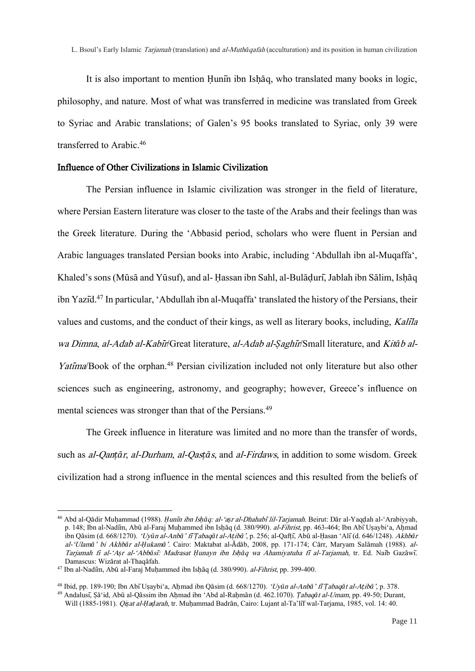It is also important to mention Hunin ibn Ishaq, who translated many books in logic, philosophy, and nature. Most of what was transferred in medicine was translated from Greek to Syriac and Arabic translations; of Galen's 95 books translated to Syriac, only 39 were transferred to Arabic.<sup>46</sup>

# Influence of Other Civilizations in Islamic Civilization

The Persian influence in Islamic civilization was stronger in the field of literature, where Persian Eastern literature was closer to the taste of the Arabs and their feelings than was the Greek literature. During the 'Abbasid period, scholars who were fluent in Persian and Arabic languages translated Persian books into Arabic, including 'Abdullah ibn al-Muqaffa', Khaled's sons (Mūsā and Yūsuf), and al- Ḥassan ibn Sahl, al-Bulāḍurī, Jablah ibn Sālim, Isḥāq ibn Yazid.<sup>47</sup> In particular, 'Abdullah ibn al-Muqaffa' translated the history of the Persians, their values and customs, and the conduct of their kings, as well as literary books, including, Kali*̄*la wa Dimna, al-Adab al-Kabi*̄*r/Great literature, al-Adab al-*Ṣ*aghi*̄*r/Small literature, and Kit*ā*b al-Yatima/Book of the orphan.<sup>48</sup> Persian civilization included not only literature but also other sciences such as engineering, astronomy, and geography; however, Greece's influence on mental sciences was stronger than that of the Persians.<sup>49</sup>

The Greek influence in literature was limited and no more than the transfer of words, such as al-Qan*ṭā*r, al-Durham, al-Qas*ṭā*s, and al-Firdaws, in addition to some wisdom. Greek civilization had a strong influence in the mental sciences and this resulted from the beliefs of

<sup>46</sup> Abd al-Qādir Muḥammad (1988). *Ḥ*uni*̄*n ibn Is*ḥā*q: al-'a*ṣ*r al-Dhahabi*̄*lil-Tarjamah. Beirut: Dār al-Yaqḍah al-'Arabiyyah, p. 148; Ibn al-Nadiīn, Abū al-Faraj Muḥammed ibn Isḥāq (d. 380/990). al-Fihrist, pp. 463-464; Ibn Abī Uṣaybi'a, Aḥmad ibn Qāsim (d. 668/1270). 'Uy*ū*n al-Anb*ā*' fi*̄Ṭ*abaq*ā*t al-A*ṭ*ib*ā*', p. 256; al-Qafṭī, Abū al-Ḥasan 'Alī(d. 646/1248). Akhb*ā*<sup>r</sup> al-'Ulam*ā*' bi Akhb*ā*r al-*Ḥ*ukam*ā*'. Cairo: Maktabat al-Ādāb, 2008, pp. 171-174; Cārr, Maryam Salāmah (1988). al-Tarjamah fi al-'A*ṣ*r al-'Abb*ā*si*̄*: Madrasat *Ḥ*unayn ibn Is*ḥā*q wa Ahamiyatuha fi*̄* al-Tarjamah, tr. Ed. Naīb Gazāwī. Damascus: Wizārat al-Thaqāfah.

<sup>&</sup>lt;sup>47</sup> Ibn al-Nadīm, Abū al-Faraj Muḥammed ibn Isḥāq (d. 380/990). *al-Fihrist*, pp. 399-400.

<sup>48</sup> Ibid, pp. 189-190; Ibn AbīUṣaybi'a, Aḥmad ibn Qāsim (d. 668/1270). 'Uy*ū*n al-Anb*ā*' fi*̄Ṭ*abaq*ā*t al-A*ṭ*ib*ā*', p. 378.

<sup>49</sup> Andalusī, Ṣā'id, Abū al-Qāssim ibn Aḥmad ibn 'Abd al-Raḥmān (d. 462.1070). *Ṭ*abaq*ā*t al-Umam, pp. 49-50; Durant, Will (1885-1981). *Qiṣat al-Ḥaḍarah*, tr. Muḥammad Badrān, Cairo: Lujant al-Ta'liī wal-Tarjama, 1985, vol. 14: 40.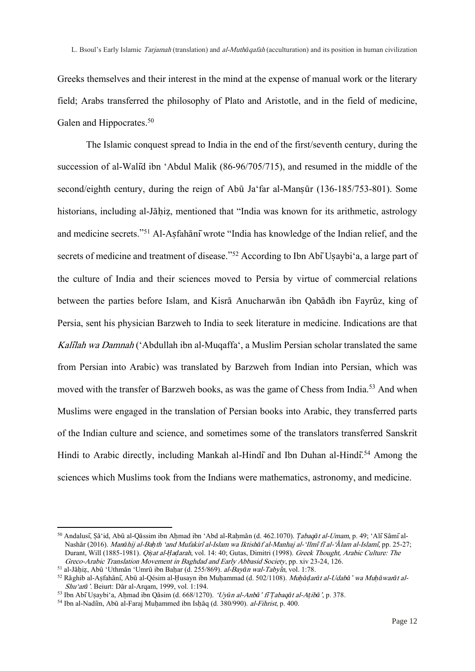Greeks themselves and their interest in the mind at the expense of manual work or the literary field; Arabs transferred the philosophy of Plato and Aristotle, and in the field of medicine, Galen and Hippocrates.<sup>50</sup>

The Islamic conquest spread to India in the end of the first/seventh century, during the succession of al-Walid ibn 'Abdul Malik (86-96/705/715), and resumed in the middle of the second/eighth century, during the reign of Abū Ja'far al-Mansūr (136-185/753-801). Some historians, including al-Jāhiz, mentioned that "India was known for its arithmetic, astrology and medicine secrets."<sup>51</sup> Al-Asfahānī wrote "India has knowledge of the Indian relief, and the secrets of medicine and treatment of disease."<sup>52</sup> According to Ibn Abi Usaybi'a, a large part of the culture of India and their sciences moved to Persia by virtue of commercial relations between the parties before Islam, and Kisrā Anucharwān ibn Qabādh ibn Fayrūz, king of Persia, sent his physician Barzweh to India to seek literature in medicine. Indications are that Kali*̄*lah wa Damnah ('Abdullah ibn al-Muqaffa', a Muslim Persian scholar translated the same from Persian into Arabic) was translated by Barzweh from Indian into Persian, which was moved with the transfer of Barzweh books, as was the game of Chess from India.<sup>53</sup> And when Muslims were engaged in the translation of Persian books into Arabic, they transferred parts of the Indian culture and science, and sometimes some of the translators transferred Sanskrit Hindi to Arabic directly, including Mankah al-Hindi and Ibn Duhan al-Hindi<sup>54</sup> Among the sciences which Muslims took from the Indians were mathematics, astronomy, and medicine.

<sup>50</sup> Andalusī, Ṣā'id, Abū al-Qāssim ibn Aḥmad ibn 'Abd al-Raḥmān (d. 462.1070). *Ṭ*abaq*ā*t al-Umam, p. 49; 'AlīSāmīal-Nashār (2016). Man*ā*hij al-Ba*ḥ*th 'and Mufakiri*̄*al-Islam wa Iktish*ā*f al-Manhaj al-'Ilmi*̄*fi*̄*al-'*Ā*lam al-Islami*̄*, pp. 25-27; Durant, Will (1885-1981). Qi*ṣ*at al-*Ḥ*a*ḍ*arah, vol. 14: 40; Gutas, Dimitri (1998). Greek Thought, Arabic Culture: The Greco-Arabic Translation Movement in Baghdad and Early Abbasid Society, pp. xiv 23-24, 126.

<sup>51</sup> al-Jāḥiẓ, Abū 'Uthmān 'Umrū ibn Baḥar (d. 255/869). al-Bay*ā*n wal-Tabyi*̄*n, vol. 1:78.

<sup>52</sup> Rāghib al-Aṣfahānī, Abū al-Qésim al-Ḥusayn ibn Muḥammad (d. 502/1108). Mu*ḥāḍ*ar*ā*t al-Udab*ā*' wa Mu*ḥā*war*ā*t al-Shu'ar*ā*'. Beiurt: Dār al-Arqam, 1999, vol. 1:194.

<sup>53</sup> Ibn AbīUṣaybi'a, Aḥmad ibn Qāsim (d. 668/1270). 'Uy*ū*n al-Anb*ā*' fi*̄Ṭ*abaq*ā*t al-A*ṭ*ib*ā*', p. 378.

<sup>54</sup> Ibn al-Nadīm, Abū al-Faraj Muḥammed ibn Isḥāq (d. 380/990). al-Fihrist, p. 400.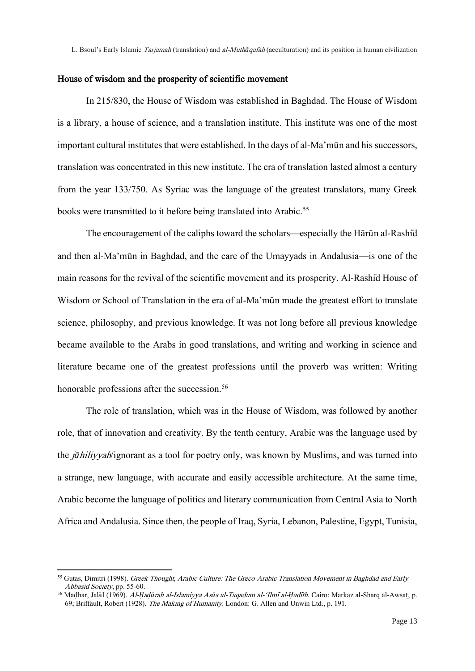## House of wisdom and the prosperity of scientific movement

In 215/830, the House of Wisdom was established in Baghdad. The House of Wisdom is a library, a house of science, and a translation institute. This institute was one of the most important cultural institutes that were established. In the days of al-Ma'mūn and his successors, translation was concentrated in this new institute. The era of translation lasted almost a century from the year 133/750. As Syriac was the language of the greatest translators, many Greek books were transmitted to it before being translated into Arabic.<sup>55</sup>

The encouragement of the caliphs toward the scholars—especially the Hārūn al-Rashīd and then al-Ma'mūn in Baghdad, and the care of the Umayyads in Andalusia—is one of the main reasons for the revival of the scientific movement and its prosperity. Al-Rashīd House of Wisdom or School of Translation in the era of al-Ma'mūn made the greatest effort to translate science, philosophy, and previous knowledge. It was not long before all previous knowledge became available to the Arabs in good translations, and writing and working in science and literature became one of the greatest professions until the proverb was written: Writing honorable professions after the succession.<sup>56</sup>

The role of translation, which was in the House of Wisdom, was followed by another role, that of innovation and creativity. By the tenth century, Arabic was the language used by the j*ā*hiliyyah/ignorant as a tool for poetry only, was known by Muslims, and was turned into a strange, new language, with accurate and easily accessible architecture. At the same time, Arabic become the language of politics and literary communication from Central Asia to North Africa and Andalusia. Since then, the people of Iraq, Syria, Lebanon, Palestine, Egypt, Tunisia,

<sup>&</sup>lt;sup>55</sup> Gutas, Dimitri (1998). Greek Thought, Arabic Culture: The Greco-Arabic Translation Movement in Baghdad and Early Abbasid Society, pp. 55-60.

<sup>56</sup> Maḍhar, Jalāl (1969). Al-*Ḥ*a*ḍā*rah al-Islamiyya As*ā*s al-Taqadum al-'Ilmi*̄*al-*Ḥ*adi*̄*th. Cairo: Markaz al-Sharq al-Awsaṭ, p. 69; Briffault, Robert (1928). The Making of Humanity. London: G. Allen and Unwin Ltd., p. 191.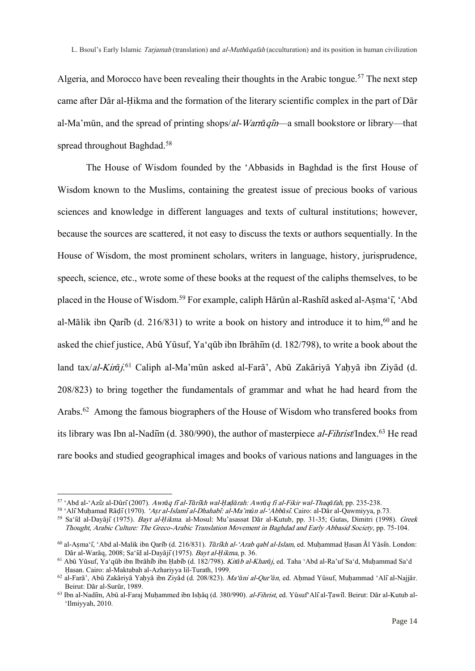Algeria, and Morocco have been revealing their thoughts in the Arabic tongue.<sup>57</sup> The next step came after Dār al-Ḥikma and the formation of the literary scientific complex in the part of Dār al-Ma'mūn, and the spread of printing shops/al-Warr*ā*qi*̄*n—a small bookstore or library—that spread throughout Baghdad.<sup>58</sup>

The House of Wisdom founded by the 'Abbasids in Baghdad is the first House of Wisdom known to the Muslims, containing the greatest issue of precious books of various sciences and knowledge in different languages and texts of cultural institutions; however, because the sources are scattered, it not easy to discuss the texts or authors sequentially. In the House of Wisdom, the most prominent scholars, writers in language, history, jurisprudence, speech, science, etc., wrote some of these books at the request of the caliphs themselves, to be placed in the House of Wisdom.<sup>59</sup> For example, caliph Hārūn al-Rashīd asked al-Aṣma'ī, 'Abd al-Mālik ibn Qarib (d. 216/831) to write a book on history and introduce it to him,  $60$  and he asked the chief justice, Abū Yūsuf, Ya'qūb ibn Ibrāhīm (d. 182/798), to write a book about the land tax/al-Kirāj.<sup>61</sup> Caliph al-Ma'mūn asked al-Farā', Abū Zakāriyā Yaḥyā ibn Ziyād (d. 208/823) to bring together the fundamentals of grammar and what he had heard from the Arabs.<sup>62</sup> Among the famous biographers of the House of Wisdom who transfered books from its library was Ibn al-Nadim (d. 380/990), the author of masterpiece *al-Fihrist*/Index.<sup>63</sup> He read rare books and studied geographical images and books of various nations and languages in the

<sup>57</sup> 'Abd al-'Azīz al-Dūrī(2007). Awr*ā*q fi*̄*al-T*ā*ri*̄*kh wal-*Ḥ*a*ḍā*rah: Awr*ā*q fi al-Fikir wal-Thaq*ā*fah, pp. 235-238.

<sup>58</sup> 'AlīMuḥamad Rāḍī(1970). 'A*ṣ*r al-Islami*̄*al-Dhahabi*̄*: al-Ma'm*ū*n al-'Abb*ā*si*̄*. Cairo: al-Dār al-Qawmiyya, p.73.

<sup>59</sup> Sa'īd al-Dayājī(1975). Bayt al-*Ḥ*ikma. al-Mosul: Mu'asassat Dār al-Kutub, pp. 31-35; Gutas, Dimitri (1998). Greek Thought, Arabic Culture: The Greco-Arabic Translation Movement in Baghdad and Early Abbasid Society, pp. 75-104.

<sup>60</sup> al-Aṣma'ī, 'Abd al-Malik ibn Qarīb (d. 216/831). T*ā*ri*̄*kh al-'Arab qabl al-Islam, ed. Muḥammad Ḥasan Āl Yāsīn. London: Dār al-Warāq, 2008; Sa'īd al-Dayājī(1975). Bayt al-*Ḥ*ikma, p. 36.

<sup>61</sup> Abū Yūsuf, Ya'qūb ibn Ibrāhīb ibn Ḥabīb (d. 182/798). Kit*ā*b al-Khar*ā*j, ed. Taha 'Abd al-Ra'uf Sa'd, Muḥammad Sa'd Ḥasan. Cairo: al-Maktabah al-Azhariyya lil-Turath, 1999.

<sup>62</sup> al-Farā', Abū Zakāriyā Yaḥyā ibn Ziyād (d. 208/823). Ma'*ā*ni al-Qur'*ā*n, ed. Aḥmad Yūsuf, Muḥammad 'Alīal-Najjār. Beirut: Dār al-Surūr, 1989.

<sup>&</sup>lt;sup>63</sup> Ibn al-Nadīm, Abū al-Faraj Muhammed ibn Ishāq (d. 380/990). al-Fihrist, ed. Yūsuf`Alī al-Tawil. Beirut: Dār al-Kutub al-'Ilmiyyah, 2010.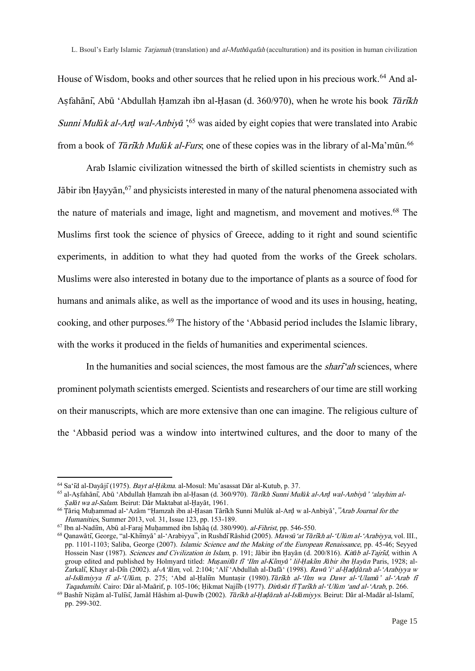House of Wisdom, books and other sources that he relied upon in his precious work.<sup>64</sup> And al-Aṣfahānī, Abū 'Abdullah Ḥamzah ibn al-Ḥasan (d. 360/970), when he wrote his book T*ā*ri*̄*kh Sunni Mul*ū*k al-Ar*ḍ* wal-Anbiy*ā*', <sup>65</sup> was aided by eight copies that were translated into Arabic from a book of *Tārīkh Mulūk al-Furs*; one of these copies was in the library of al-Ma'mūn.<sup>66</sup>

Arab Islamic civilization witnessed the birth of skilled scientists in chemistry such as Jābir ibn Hayyān,<sup>67</sup> and physicists interested in many of the natural phenomena associated with the nature of materials and image, light and magnetism, and movement and motives.<sup>68</sup> The Muslims first took the science of physics of Greece, adding to it right and sound scientific experiments, in addition to what they had quoted from the works of the Greek scholars. Muslims were also interested in botany due to the importance of plants as a source of food for humans and animals alike, as well as the importance of wood and its uses in housing, heating, cooking, and other purposes.<sup>69</sup> The history of the 'Abbasid period includes the Islamic library, with the works it produced in the fields of humanities and experimental sciences.

In the humanities and social sciences, the most famous are the *shari<sup>-c</sup>ah* sciences, where prominent polymath scientists emerged. Scientists and researchers of our time are still working on their manuscripts, which are more extensive than one can imagine. The religious culture of the 'Abbasid period was a window into intertwined cultures, and the door to many of the

<sup>64</sup> Sa'īd al-Dayājī(1975). Bayt al-*Ḥ*ikma. al-Mosul: Mu'asassat Dār al-Kutub, p. 37.

<sup>65</sup> al-Aṣfahānī, Abū 'Abdullah Ḥamzah ibn al-Ḥasan (d. 360/970). T*ā*ri*̄*kh Sunni Mul*ū*k al-Ar*ḍ* wal-Anbiy*ā*' 'alayhim al-*Ṣ*al*ā*t wa al-Salam. Beirut: Dār Maktabat al-Ḥayāt, 1961.

<sup>66</sup> Ṭāriq Muḥammad al-'Azām "Ḥamzah ibn al-Ḥasan Tārīkh Sunni Mulūk al-Arḍ w al-Anbiyā',"Arab Journal for the Humanities, Summer 2013, vol. 31, Issue 123, pp. 153-189.

 $67$  Ibn al-Nadim, Abū al-Faraj Muḥammed ibn Isḥāq (d. 380/990). *al-Fihrist*, pp. 546-550.

<sup>68</sup> Qanawātī, George, "al-Khīmyā' al-'Arabiyya", in RushdīRāshid (2005). Maws*ū*'at T*ā*ri*̄*kh al-'Ul*ū*m al-'Arabiyya, vol. III., pp. 1101-1103; Saliba, George (2007). Islamic Science and the Making of the European Renaissance, pp. 45-46; Seyyed Hossein Nasr (1987). Sciences and Civilization in Islam, p. 191; Jābir ibn Ḥayān (d. 200/816). Kit*ā*b al-Tajri*̄*d, within A group edited and published by Holmyard titled: Mu*ṣ*anif*ā*t fi*̄*'Ilm al-Ki*̄*my*ā*' lil-*Ḥ*aki*̄*m J*ā*bir ibn *Ḥ*ay*ā*<sup>n</sup> Paris, 1928; al-Zarkalī, Khayr al-Dīn (2002). al-A'l*ā*m, vol. 2:104; 'Alī'Abdullah al-Dafā' (1998). Raw*ā*'i' al-*Ḥ*a*ḍḍā*rah al-'Arabiyya w al-Isl*ā*miyya fi*̄* al-'Ul*ū*m, p. 275; 'Abd al-Ḥalīm Muntaṣir (1980).T*ā*ri*̄*kh al-'Ilm wa Dawr al-'Ulam*ā*' al-'Arab fi*̄* Taqadumihi. Cairo: Dār al-Maārif, p. 105-106; Ḥikmat Najīīb (1977). Dir*ā*s*ā*t fi*̄Ṭ*ari*̄*kh al-'Ul*ū*m 'and al-'Arab, p. 266.

<sup>69</sup> Bashīr Niẓām al-Tulīsī, Jamāl Hāshim al-Ḍuwīb (2002). T*ā*ri*̄*kh al-*Ḥ*a*ḍā*rah al-Isl*ā*miyys. Beirut: Dār al-Madār al-Islamī, pp. 299-302.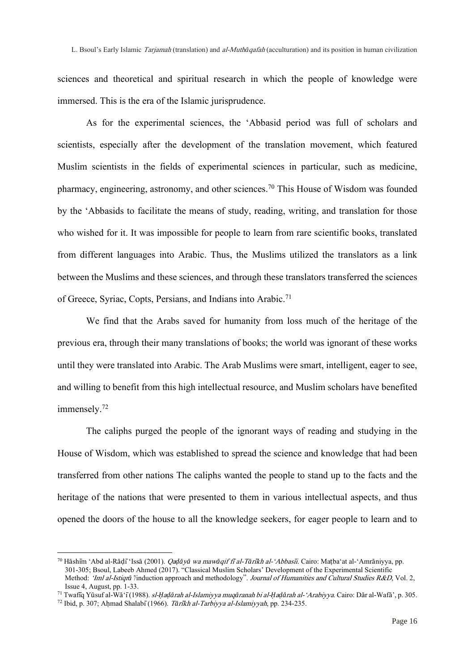sciences and theoretical and spiritual research in which the people of knowledge were immersed. This is the era of the Islamic jurisprudence.

As for the experimental sciences, the 'Abbasid period was full of scholars and scientists, especially after the development of the translation movement, which featured Muslim scientists in the fields of experimental sciences in particular, such as medicine, pharmacy, engineering, astronomy, and other sciences.<sup>70</sup> This House of Wisdom was founded by the 'Abbasids to facilitate the means of study, reading, writing, and translation for those who wished for it. It was impossible for people to learn from rare scientific books, translated from different languages into Arabic. Thus, the Muslims utilized the translators as a link between the Muslims and these sciences, and through these translators transferred the sciences of Greece, Syriac, Copts, Persians, and Indians into Arabic.<sup>71</sup>

We find that the Arabs saved for humanity from loss much of the heritage of the previous era, through their many translations of books; the world was ignorant of these works until they were translated into Arabic. The Arab Muslims were smart, intelligent, eager to see, and willing to benefit from this high intellectual resource, and Muslim scholars have benefited immensely.<sup>72</sup>

The caliphs purged the people of the ignorant ways of reading and studying in the House of Wisdom, which was established to spread the science and knowledge that had been transferred from other nations The caliphs wanted the people to stand up to the facts and the heritage of the nations that were presented to them in various intellectual aspects, and thus opened the doors of the house to all the knowledge seekers, for eager people to learn and to

<sup>70</sup> Hāshīm 'Abd al-Rāḍī'Issā (2001). Qa*ḍā*y*ā* wa maw*ā*qif fi*̄*al-T*ā*ri*̄*kh al-'Abbasi*̄*i. Cairo: Maṭba'at al-'Amrāniyya, pp. 301-305; Bsoul, Labeeb Ahmed (2017). "Classical Muslim Scholars' Development of the Experimental Scientific Method: 'Iml al-Istiqrā'/induction approach and methodology". Journal of Humanities and Cultural Studies R&D, Vol. 2, Issue 4, August, pp. 1-33.

<sup>71</sup> Twafīq Yūsuf al-Wā'ī(1988). sl-*Ḥ*a*ḍā*rah al-Islamiyya muq*ā*ranah bi al-*Ḥ*a*ḍā*rah al-'Arabiyya. Cairo: Dār al-Wafā', p. 305.

<sup>72</sup> Ibid, p. 307; Aḥmad Shalabī(1966). T*ā*ri*̄*kh al-Tarbiyya al-Islamiyyah, pp. 234-235.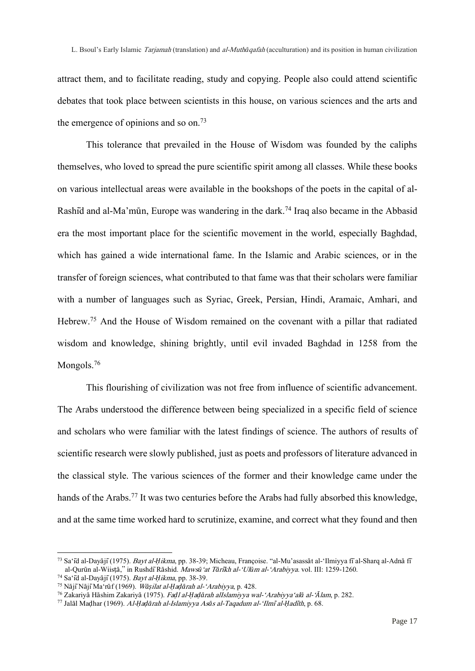attract them, and to facilitate reading, study and copying. People also could attend scientific debates that took place between scientists in this house, on various sciences and the arts and the emergence of opinions and so on.<sup>73</sup>

This tolerance that prevailed in the House of Wisdom was founded by the caliphs themselves, who loved to spread the pure scientific spirit among all classes. While these books on various intellectual areas were available in the bookshops of the poets in the capital of al-Rashid and al-Ma'mūn, Europe was wandering in the dark.<sup>74</sup> Iraq also became in the Abbasid era the most important place for the scientific movement in the world, especially Baghdad, which has gained a wide international fame. In the Islamic and Arabic sciences, or in the transfer of foreign sciences, what contributed to that fame was that their scholars were familiar with a number of languages such as Syriac, Greek, Persian, Hindi, Aramaic, Amhari, and Hebrew.<sup>75</sup> And the House of Wisdom remained on the covenant with a pillar that radiated wisdom and knowledge, shining brightly, until evil invaded Baghdad in 1258 from the Mongols.<sup>76</sup>

This flourishing of civilization was not free from influence of scientific advancement. The Arabs understood the difference between being specialized in a specific field of science and scholars who were familiar with the latest findings of science. The authors of results of scientific research were slowly published, just as poets and professors of literature advanced in the classical style. The various sciences of the former and their knowledge came under the hands of the Arabs.<sup>77</sup> It was two centuries before the Arabs had fully absorbed this knowledge, and at the same time worked hard to scrutinize, examine, and correct what they found and then

<sup>73</sup> Sa'īd al-Dayājī(1975). Bayt al-*Ḥ*ikma, pp. 38-39; Micheau, Françoise. "al-Mu'asassāt al-'Ilmiyya fīal-Sharq al-Adnā fī al-Qurūn al-Wiisṭā," in RushdīRāshid. Maws*ū*'at T*ā*ri*̄*kh al-'Ul*ū*m al-'Arabiyya. vol. III: 1259-1260.

<sup>74</sup> Sa'īd al-Dayājī(1975). Bayt al-*Ḥ*ikma, pp. 38-39.

<sup>75</sup> NājīNājīMa'rūf (1969). W*āṣ*ilat al-*Ḥ*a*ḍā*rah al-'Arabiyya, p. 428.

<sup>76</sup> Zakariyā Hāshim Zakariyā (1975). Fa*ḍ*l al-*Ḥ*a*ḍā*rah alIslamiyya wal-'Arabiyya'al*ā* al-'*Ā*lam, p. 282.

<sup>77</sup> Jalāl Maḍhar (1969). Al-*Ḥ*a*ḍā*rah al-Islamiyya As*ā*s al-Taqadum al-'Ilmi*̄*al-*Ḥ*adi*̄*th, p. 68.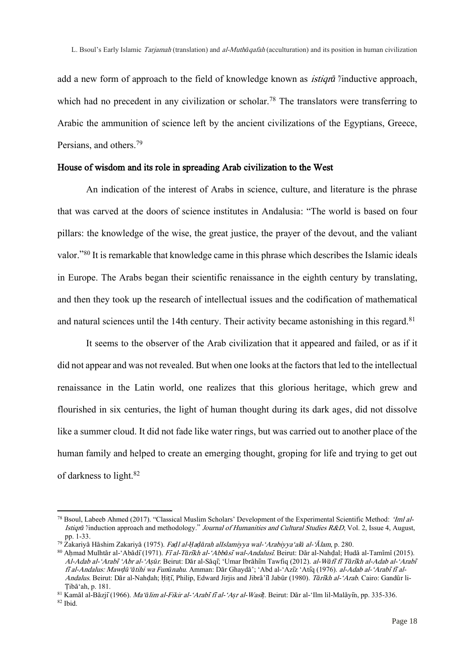add a new form of approach to the field of knowledge known as istiqr*ā*'/inductive approach, which had no precedent in any civilization or scholar.<sup>78</sup> The translators were transferring to Arabic the ammunition of science left by the ancient civilizations of the Egyptians, Greece, Persians, and others.<sup>79</sup>

## House of wisdom and its role in spreading Arab civilization to the West

An indication of the interest of Arabs in science, culture, and literature is the phrase that was carved at the doors of science institutes in Andalusia: "The world is based on four pillars: the knowledge of the wise, the great justice, the prayer of the devout, and the valiant valor."<sup>80</sup> It is remarkable that knowledge came in this phrase which describes the Islamic ideals in Europe. The Arabs began their scientific renaissance in the eighth century by translating, and then they took up the research of intellectual issues and the codification of mathematical and natural sciences until the 14th century. Their activity became astonishing in this regard.<sup>81</sup>

It seems to the observer of the Arab civilization that it appeared and failed, or as if it did not appear and was not revealed. But when one looks at the factors that led to the intellectual renaissance in the Latin world, one realizes that this glorious heritage, which grew and flourished in six centuries, the light of human thought during its dark ages, did not dissolve like a summer cloud. It did not fade like water rings, but was carried out to another place of the human family and helped to create an emerging thought, groping for life and trying to get out of darkness to light.<sup>82</sup>

<sup>78</sup> Bsoul, Labeeb Ahmed (2017). "Classical Muslim Scholars' Development of the Experimental Scientific Method: 'Iml al-Istiqr*ā*'/induction approach and methodology." Journal of Humanities and Cultural Studies R&D, Vol. 2, Issue 4, August, pp. 1-33.

<sup>79</sup> Zakariyā Hāshim Zakariyā (1975). Fa*ḍ*l al-*Ḥ*a*ḍā*rah alIslamiyya wal-'Arabiyya'al*ā* al-'*Ā*lam, p. 280.

<sup>80</sup> Aḥmad Mulhtār al-'Abādī (1971). Fī al-Tārīkh al-'Abbāsī wal-Andalusī. Beirut: Dār al-Nahḍal; Hudā al-Tamīmī (2015). Al-Adab al-'Arabi*̄*'Abr al-'A*ṣū*r. Beirut: Dār al-Sāqī; 'Umar Ibrāhīm Tawfiq (2012). al-W*ā*fi*̄*fi*̄*T*ā*ri*̄*kh al-Adab al-'Arabi*̄* <sup>f</sup>i*̄*al-Andalus: Maw*ḍū*'*ā*tihi wa Fun*ū*nahu. Amman: Dār Ghaydā'; 'Abd al-'Azīz 'Atīq (1976). al-Adab al-'Arabi*̄*fi*̄*al-Andalus. Beirut: Dār al-Nahḍah; Ḥiṭī, Philip, Edward Jirjis and Jibrā'īl Jabūr (1980). T*ā*ri*̄*kh al-'Arab. Cairo: Gandūr li-Ṭibā'ah, p. 181.

<sup>81</sup> Kamāl al-Bāzjī(1966). Ma'*ā*lim al-Fikir al-'Arabi*̄*fi*̄*al-'A*ṣ*r al-Wasi*̄ṭ*. Beirut: Dār al-'Ilm lil-Malāyīn, pp. 335-336.

<sup>82</sup> Ibid.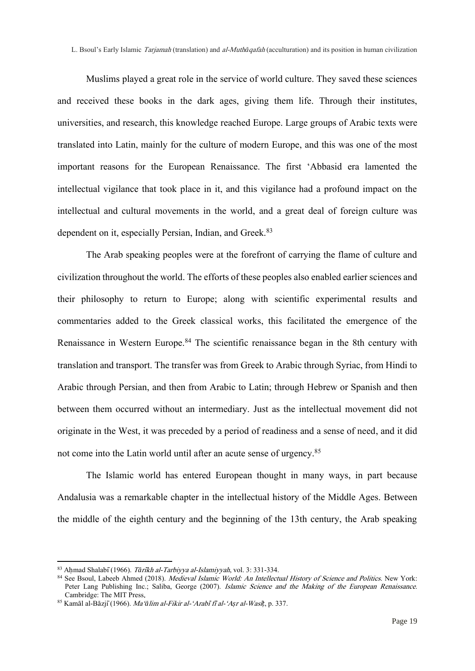Muslims played a great role in the service of world culture. They saved these sciences and received these books in the dark ages, giving them life. Through their institutes, universities, and research, this knowledge reached Europe. Large groups of Arabic texts were translated into Latin, mainly for the culture of modern Europe, and this was one of the most important reasons for the European Renaissance. The first 'Abbasid era lamented the intellectual vigilance that took place in it, and this vigilance had a profound impact on the intellectual and cultural movements in the world, and a great deal of foreign culture was dependent on it, especially Persian, Indian, and Greek.<sup>83</sup>

The Arab speaking peoples were at the forefront of carrying the flame of culture and civilization throughout the world. The efforts of these peoples also enabled earlier sciences and their philosophy to return to Europe; along with scientific experimental results and commentaries added to the Greek classical works, this facilitated the emergence of the Renaissance in Western Europe.<sup>84</sup> The scientific renaissance began in the 8th century with translation and transport. The transfer was from Greek to Arabic through Syriac, from Hindi to Arabic through Persian, and then from Arabic to Latin; through Hebrew or Spanish and then between them occurred without an intermediary. Just as the intellectual movement did not originate in the West, it was preceded by a period of readiness and a sense of need, and it did not come into the Latin world until after an acute sense of urgency.<sup>85</sup>

The Islamic world has entered European thought in many ways, in part because Andalusia was a remarkable chapter in the intellectual history of the Middle Ages. Between the middle of the eighth century and the beginning of the 13th century, the Arab speaking

<sup>83</sup> Aḥmad Shalabī(1966). T*ā*ri*̄*kh al-Tarbiyya al-Islamiyyah, vol. 3: 331-334.

<sup>84</sup> See Bsoul, Labeeb Ahmed (2018). Medieval Islamic World: An Intellectual History of Science and Politics. New York: Peter Lang Publishing Inc.; Saliba, George (2007). Islamic Science and the Making of the European Renaissance. Cambridge: The MIT Press.

<sup>85</sup> Kamāl al-Bāzjī(1966). Ma'*ā*lim al-Fikir al-'Arabi*̄*fi*̄*al-'A*ṣ*r al-Wasi*̄ṭ*, p. 337.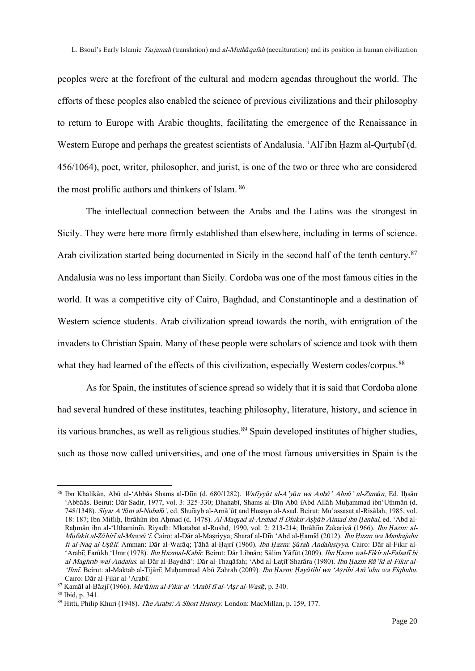peoples were at the forefront of the cultural and modern agendas throughout the world. The efforts of these peoples also enabled the science of previous civilizations and their philosophy to return to Europe with Arabic thoughts, facilitating the emergence of the Renaissance in Western Europe and perhaps the greatest scientists of Andalusia. 'Alīibn Hazm al-Qurtubī(d. 456/1064), poet, writer, philosopher, and jurist, is one of the two or three who are considered the most prolific authors and thinkers of Islam. <sup>86</sup>

The intellectual connection between the Arabs and the Latins was the strongest in Sicily. They were here more firmly established than elsewhere, including in terms of science. Arab civilization started being documented in Sicily in the second half of the tenth century.<sup>87</sup> Andalusia was no less important than Sicily. Cordoba was one of the most famous cities in the world. It was a competitive city of Cairo, Baghdad, and Constantinople and a destination of Western science students. Arab civilization spread towards the north, with emigration of the invaders to Christian Spain. Many of these people were scholars of science and took with them what they had learned of the effects of this civilization, especially Western codes/corpus.<sup>88</sup>

As for Spain, the institutes of science spread so widely that it is said that Cordoba alone had several hundred of these institutes, teaching philosophy, literature, history, and science in its various branches, as well as religious studies.<sup>89</sup> Spain developed institutes of higher studies, such as those now called universities, and one of the most famous universities in Spain is the

<sup>86</sup> Ibn Khalikān, Abū al-'Abbās Shams al-Dīin (d. 680/1282). Wafiyy*ā*t al-A'y*ā*n wa Anb*ā*' Abn*ā*' al-Zam*ā*n, Ed. Iḥsān 'Abbāās. Beirut: Dār Sadir, 1977, vol. 3: 325-330; Dhahabī, Shams al-Dīn Abū īAbd Allāh Muḥammad ibn'Uthmān (d. 748/1348). Siyar A'l*ā*m al-Nubal*āʾ*, ed. Shuīayb al-Arnāʾūṭ and Ḥusayn al-Asad. Beirut: Muʾassasat al-Risālah, 1985, vol. 18: 187; Ibn Mifliḥ, Ibrāhīm ibn Aḥmad (d. 1478). Al-Maq*ṣ*ad al-Arshad fi*̄*Dhikir A*ṣḥā*b Aímad ibn *Ḥ*anbal, ed. 'Abd al-Raḥmān ibn al-'Uthaminīn. Riyadh: Mkatabat al-Rushd, 1990, vol. 2: 213-214; Ibrāhīm Zakariyā (1966). Ibn *Ḥ*azm: al-Mufakit al-*Ẓā*hiri*̄*al-Maws*ū*'i*̄*. Cairo: al-Dār al-Maṣriyya; Sharaf al-Dīn 'Abd al-Ḥamīd (2012). Ibn *Ḥ*azm wa Manhajuhu fi al-Naq al-U*ṣū*li*̄*. Amman: Dār al-Warāq; Ṭāhā al-Ḥajrī(1960). Ibn *Ḥ*azm: *Ṣū*rah Andalusiyya. Cairo: Dār al-Fikir al- 'Arabī; Farūkh 'Umr (1978). Ibn *Ḥ*azmal-Kabi*̄*r. Beirut: Dār Libnān; Sālim Yāfūt (2009). Ibn *Ḥ*azm wal-Fikir al-Falsafi*̄*bi al-Maghrib wal-Andalus. al-Dār al-Baydhā': Dār al-Thaqāfah; 'Abd al-Laṭīf Sharāra (1980). Ibn *Ḥ*azm <sup>R</sup>*ā*'i*̄*d al-Fikir al- 'Ilmi*̄*. Beirut: al-Maktab al-Tijārī; Muḥammad Abū Zahrah (2009). Ibn *Ḥ*azm: *Ḥ*ay*ā*tihi wa 'A*ṣ*rihi Ar*ā*'uhu wa Fiqhuhu. Cairo: Dār al-Fikir al-'Arabī.

<sup>87</sup> Kamāl al-Bāzjī(1966). Ma'*ā*lim al-Fikir al-'Arabi*̄*fi*̄*al-'A*ṣ*r al-Wasi*̄ṭ*, p. 340.

<sup>88</sup> Ibid, p. 341.

<sup>89</sup> Hitti, Philip Khuri (1948). The Arabs: A Short History. London: MacMillan, p. 159, 177.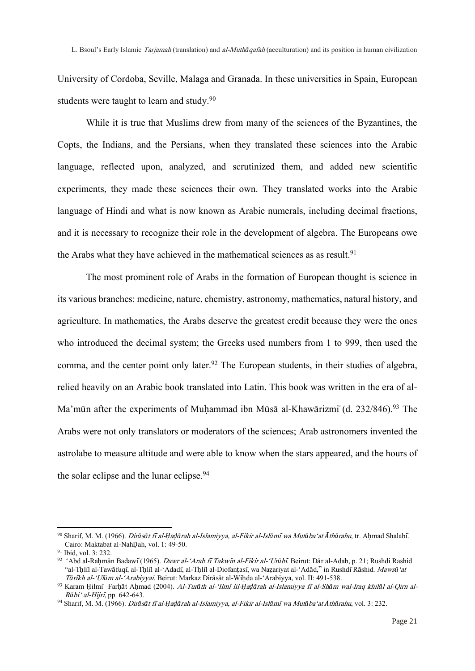University of Cordoba, Seville, Malaga and Granada. In these universities in Spain, European students were taught to learn and study.<sup>90</sup>

While it is true that Muslims drew from many of the sciences of the Byzantines, the Copts, the Indians, and the Persians, when they translated these sciences into the Arabic language, reflected upon, analyzed, and scrutinized them, and added new scientific experiments, they made these sciences their own. They translated works into the Arabic language of Hindi and what is now known as Arabic numerals, including decimal fractions, and it is necessary to recognize their role in the development of algebra. The Europeans owe the Arabs what they have achieved in the mathematical sciences as as result.<sup>91</sup>

The most prominent role of Arabs in the formation of European thought is science in its various branches: medicine, nature, chemistry, astronomy, mathematics, natural history, and agriculture. In mathematics, the Arabs deserve the greatest credit because they were the ones who introduced the decimal system; the Greeks used numbers from 1 to 999, then used the comma, and the center point only later.<sup>92</sup> The European students, in their studies of algebra, relied heavily on an Arabic book translated into Latin. This book was written in the era of al-Ma'mūn after the experiments of Muḥammad ibn Mūsā al-Khawārizmī (d. 232/846).<sup>93</sup> The Arabs were not only translators or moderators of the sciences; Arab astronomers invented the astrolabe to measure altitude and were able to know when the stars appeared, and the hours of the solar eclipse and the lunar eclipse.<sup>94</sup>

<sup>90</sup> Sharif, M. M. (1966). Dir*ā*s*ā*t fi*̄*al-*Ḥ*a*ḍā*rah al-Islamiyya, al-Fikir al-Isl*ā*mi*̄*wa Mut*ā*ba'at *Ā*th*ā*rahu, tr. Aḥmad Shalabī. Cairo: Maktabat al-NahḌah, vol. 1: 49-50.

<sup>91</sup> Ibid, vol. 3: 232.

<sup>&</sup>lt;sup>92</sup> 'Abd al-Rahmān Badawī (1965). *Dawr al-'Arab fī Takwīn al-Fikir al-'Urūbī*. Beirut: Dār al-Adab, p. 21; Rushdi Rashid "al-Tḥlīl al-Tawāfuqī, al-Tḥlīl al-'Adadī, al-Tḥlīl al-Diofanṭasī, wa Naẓariyat al-'Adād," in RushdīRāshid. Maws*ū*'at <sup>T</sup>*ā*ri*̄*kh al-'Ul*ū*m al-'Arabiyyai. Beirut: Markaz Dirāsāt al-Wiḥda al-'Arabiyya, vol. II: 491-538.

<sup>93</sup> Karam Ḥilmī Farḥāt Aḥmad (2004). Al-Tur*ā*th al-'Ilmi*̄*lil-*Ḥ*a*ḍā*rah al-Islamiyya fi*̄*al-Sh*ā*m wal-Iraq khil*ā*l al-Qirn al-<sup>R</sup>*ā*bi' al-Hijri*̄*, pp. 642-643.

<sup>94</sup> Sharif, M. M. (1966). Dir*ā*s*ā*t fi*̄*al-*Ḥ*a*ḍā*rah al-Islamiyya, al-Fikir al-Isl*ā*mi*̄*wa Mut*ā*ba'at *Ā*th*ā*rahu, vol. 3: 232.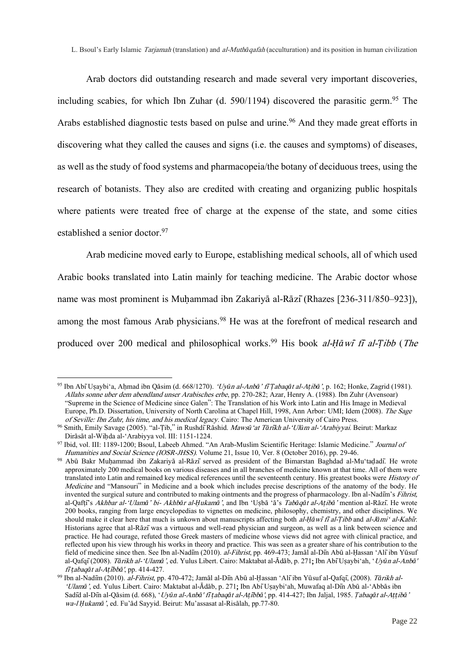Arab doctors did outstanding research and made several very important discoveries, including scabies, for which Ibn Zuhar (d. 590/1194) discovered the parasitic germ. <sup>95</sup> The Arabs established diagnostic tests based on pulse and urine.<sup>96</sup> And they made great efforts in discovering what they called the causes and signs (i.e. the causes and symptoms) of diseases, as well as the study of food systems and pharmacopeia/the botany of deciduous trees, using the research of botanists. They also are credited with creating and organizing public hospitals where patients were treated free of charge at the expense of the state, and some cities established a senior doctor. 97

Arab medicine moved early to Europe, establishing medical schools, all of which used Arabic books translated into Latin mainly for teaching medicine. The Arabic doctor whose name was most prominent is Muḥammad ibn Zakariyā al-Rāzī(Rhazes [236-311/850–923]), among the most famous Arab physicians.<sup>98</sup> He was at the forefront of medical research and produced over 200 medical and philosophical works. <sup>99</sup> His book al-*Ḥā*wi*̄*fi*̄* al-*Ṭ*ibb (The

<sup>95</sup> Ibn AbīUṣaybi'a, Aḥmad ibn Qāsim (d. 668/1270). 'Uy*ū*n al-Anb*ā*' fi*̄Ṭ*abaq*ā*t al-A*ṭ*ib*ā*', p. 162; Honke, Zagrid (1981). Allahs sonne uber dem abendland unser Arabisches erbe, pp. 270-282; Azar, Henry A. (1988). Ibn Zuhr (Avensoar) "Supreme in the Science of Medicine since Galen": The Translation of his Work into Latin and His Image in Medieval Europe, Ph.D. Dissertation, University of North Carolina at Chapel Hill, 1998, Ann Arbor: UMI; Idem (2008). The Sage of Seville: Ibn Zuhr, his time, and his medical legacy. Cairo: The American University of Cairo Press.

<sup>96</sup> Smith, Emily Savage (2005). "al-Ṭib," in RushdīRāshid. Maws*ū*'at T*ā*ri*̄*kh al-'Ul*ū*m al-'Arabiyyai. Beirut: Markaz Dirāsāt al-Wiḥda al-'Arabiyya vol. III: 1151-1224.

<sup>97</sup> Ibid, vol. III: 1189-1200; Bsoul, Labeeb Ahmed. "An Arab-Muslim Scientific Heritage: Islamic Medicine." Journal of Humanities and Social Science (IOSR-JHSS). Volume 21, Issue 10, Ver. 8 (October 2016), pp. 29-46.

<sup>98</sup> Abū Bakr Muhammad ibn Zakariyā al-Rāzī served as president of the Bimarstan Baghdad al-Mu'tadadī. He wrote approximately 200 medical books on various diseases and in all branches of medicine known at that time. All of them were translated into Latin and remained key medical references until the seventeenth century. His greatest books were History of Medicine and "Mansouri" in Medicine and a book which includes precise descriptions of the anatomy of the body. He invented the surgical suture and contributed to making ointments and the progress of pharmacology. Ibn al-Nadim's Fihrist, al-Qafṭī's Akhbar al-'Ulam*ā*' bi- Akhb*ā*r al-*Ḥ*ukam*ā*', and Ibn 'Uṣbā 'ā's Tab*ā*q*ā*t al-A*ṭ*ib*ā*' mention al-Rāzī. He wrote 200 books, ranging from large encyclopedias to vignettes on medicine, philosophy, chemistry, and other disciplines. We should make it clear here that much is unkown about manuscripts affecting both al-*Ḥā*wi*̄*fi*̄*al-*Ṭ*ibb and al-J*ā*mi' al-Kabi*̄*r. Historians agree that al-Rāzīwas a virtuous and well-read physician and surgeon, as well as a link between science and practice. He had courage, refuted those Greek masters of medicine whose views did not agree with clinical practice, and reflected upon his view through his works in theory and practice. This was seen as a greater share of his contribution to the field of medicine since then. See Ibn al-Nadiīm (2010). al-Fihrist, pp. 469-473; Jamāl al-Diīn Abū al-Ḥassan 'Alī ibn Yūsuf al-Qafqī(2008). T*ā*rikh al-'Ulam*ā*', ed. Yulus Libert. Cairo: Maktabat al-Ādāb, p. 271; Ibn AbīUṣaybi'ah, 'Uy*ū*n al-Anb*ā*' <sup>f</sup>i*̄ṭ*abaq*ā*t al-A*ṭ*i*̄*bb*ā*', pp. 414-427.

<sup>99</sup> Ibn al-Nadīm (2010). al-Fihrist, pp. 470-472; Jamāl al-Dīn Abū al-Ḥassan 'Alīibn Yūsuf al-Qafqī, (2008). T*ā*rikh al- 'Ulam*ā*', ed. Yulus Libert. Cairo: Maktabat al-Ādāb, p. 271; Ibn AbīUṣaybi'ah, Muwafaq al-Dīn Abū al-'Abbās ibn Sadīd al-Dīn al-Qāsim (d. 668), 'Uy*ū*n al-Anb*ā*' fi*̄ṭ*abaq*ā*t al-A*ṭ*i*̄*bb*ā*', pp. 414-427; Ibn Jaljal, 1985. *Ù*abaq*ā*<sup>t</sup> al-A*ṭṭ*ib*ā*' wa-l *Ḥ*ukam*ā*', ed. Fu'ād Sayyid. Beirut: Mu'assasat al-Risālah, pp.77-80.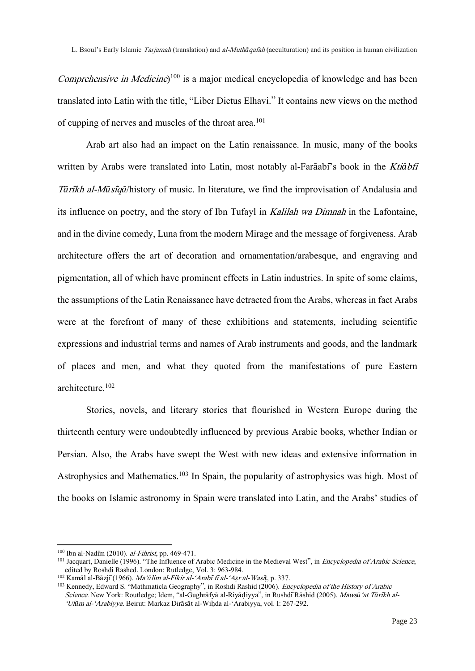Comprehensive in Medicine)<sup>100</sup> is a major medical encyclopedia of knowledge and has been translated into Latin with the title, "Liber Dictus Elhavi." It contains new views on the method of cupping of nerves and muscles of the throat area.<sup>101</sup>

Arab art also had an impact on the Latin renaissance. In music, many of the books written by Arabs were translated into Latin, most notably al-Farāabī's book in the Kti*ā*bfi <sup>T</sup>*ā*ri*̄*kh al-M*ū*si*̄*q*ā*/history of music. In literature, we find the improvisation of Andalusia and its influence on poetry, and the story of Ibn Tufayl in Kalilah wa Dimnah in the Lafontaine, and in the divine comedy, Luna from the modern Mirage and the message of forgiveness. Arab architecture offers the art of decoration and ornamentation/arabesque, and engraving and pigmentation, all of which have prominent effects in Latin industries. In spite of some claims, the assumptions of the Latin Renaissance have detracted from the Arabs, whereas in fact Arabs were at the forefront of many of these exhibitions and statements, including scientific expressions and industrial terms and names of Arab instruments and goods, and the landmark of places and men, and what they quoted from the manifestations of pure Eastern architecture.<sup>102</sup>

Stories, novels, and literary stories that flourished in Western Europe during the thirteenth century were undoubtedly influenced by previous Arabic books, whether Indian or Persian. Also, the Arabs have swept the West with new ideas and extensive information in Astrophysics and Mathematics.<sup>103</sup> In Spain, the popularity of astrophysics was high. Most of the books on Islamic astronomy in Spain were translated into Latin, and the Arabs' studies of

 $100$  Ibn al-Nadim (2010). *al-Fihrist*, pp. 469-471.

<sup>&</sup>lt;sup>101</sup> Jacquart, Danielle (1996). "The Influence of Arabic Medicine in the Medieval West", in *Encyclopedia of Arabic Science*, edited by Roshdi Rashed. London: Rutledge, Vol. 3: 963-984.

<sup>102</sup> Kamāl al-Bāzjī(1966). Ma'*ā*lim al-Fikir al-'Arabi*̄*fi*̄*al-'A*ṣ*r al-Wasi*̄ṭ*, p. 337.

<sup>&</sup>lt;sup>103</sup> Kennedy, Edward S. "Mathmaticla Geography", in Roshdi Rashid (2006). *Encyclopedia of the History of Arabic* Science. New York: Routledge; Idem, "al-Gughrāfyā al-Riyāḍiyya", in RushdīRāshid (2005). Maws*ū*'at T*ā*ri*̄*kh al- 'Ul*ū*m al-'Arabiyya. Beirut: Markaz Dirāsāt al-Wiḥda al-'Arabiyya, vol. I: 267-292.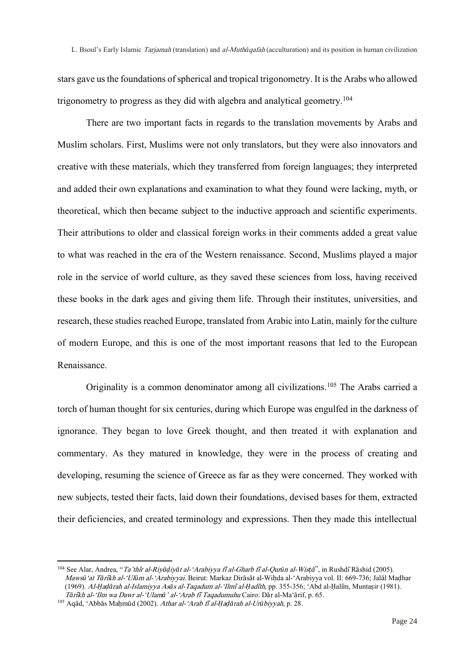stars gave us the foundations of spherical and tropical trigonometry. It is the Arabs who allowed trigonometry to progress as they did with algebra and analytical geometry.<sup>104</sup>

There are two important facts in regards to the translation movements by Arabs and Muslim scholars. First, Muslims were not only translators, but they were also innovators and creative with these materials, which they transferred from foreign languages; they interpreted and added their own explanations and examination to what they found were lacking, myth, or theoretical, which then became subject to the inductive approach and scientific experiments. Their attributions to older and classical foreign works in their comments added a great value to what was reached in the era of the Western renaissance. Second, Muslims played a major role in the service of world culture, as they saved these sciences from loss, having received these books in the dark ages and giving them life. Through their institutes, universities, and research, these studies reached Europe, translated from Arabic into Latin, mainly for the culture of modern Europe, and this is one of the most important reasons that led to the European Renaissance.

Originality is a common denominator among all civilizations.<sup>105</sup> The Arabs carried a torch of human thought for six centuries, during which Europe was engulfed in the darkness of ignorance. They began to love Greek thought, and then treated it with explanation and commentary. As they matured in knowledge, they were in the process of creating and developing, resuming the science of Greece as far as they were concerned. They worked with new subjects, tested their facts, laid down their foundations, devised bases for them, extracted their deficiencies, and created terminology and expressions. Then they made this intellectual

<sup>104</sup> See Alar, Andrea, "Ta'thi*̄*r al-Riy*āḍ*iy*ā*t al-'Arabiyya fi*̄*al-Gharb fi*̄*al-Qur*ū*n al-Wis*ṭā*", in RushdīRāshid (2005). Maws*ū*'at T*ā*ri*̄*kh al-'Ul*ū*m al-'Arabiyyai. Beirut: Markaz Dirāsāt al-Wiḥda al-'Arabiyya vol. II: 669-736; Jalāl Maḍhar (1969). Al-*Ḥ*a*ḍā*rah al-Islamiyya As*ā*s al-Taqadum al-'Ilmi*̄*al-*Ḥ*adi*̄*th, pp. 355-356; 'Abd al-Ḥalīm, Muntaṣir (1981). <sup>T</sup>*ā*ri*̄*kh al-'Ilm wa Dawr al-'Ulam*ā*' al-'Arab fi*̄*Taqadumuhu Cairo: Dār al-Ma'ārif, p. 65.

<sup>105</sup> Aqād, 'Abbās Maḥmūd (2002). Athar al-'Arab fi*̄*al-*Ḥ*a*ḍā*rah al-Ur*ū*biyyah, p. 28.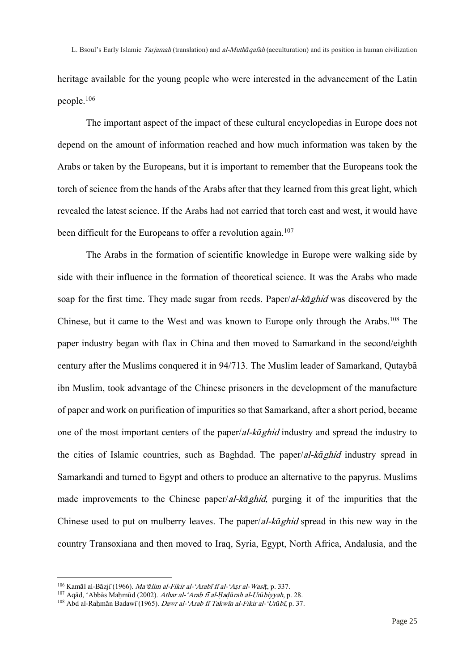heritage available for the young people who were interested in the advancement of the Latin people.<sup>106</sup>

The important aspect of the impact of these cultural encyclopedias in Europe does not depend on the amount of information reached and how much information was taken by the Arabs or taken by the Europeans, but it is important to remember that the Europeans took the torch of science from the hands of the Arabs after that they learned from this great light, which revealed the latest science. If the Arabs had not carried that torch east and west, it would have been difficult for the Europeans to offer a revolution again.<sup>107</sup>

The Arabs in the formation of scientific knowledge in Europe were walking side by side with their influence in the formation of theoretical science. It was the Arabs who made soap for the first time. They made sugar from reeds. Paper/al-k*ā*ghid was discovered by the Chinese, but it came to the West and was known to Europe only through the Arabs.<sup>108</sup> The paper industry began with flax in China and then moved to Samarkand in the second/eighth century after the Muslims conquered it in 94/713. The Muslim leader of Samarkand, Qutaybā ibn Muslim, took advantage of the Chinese prisoners in the development of the manufacture of paper and work on purification of impurities so that Samarkand, after a short period, became one of the most important centers of the paper/al-k*ā*ghid industry and spread the industry to the cities of Islamic countries, such as Baghdad. The paper/al-k*ā*ghid industry spread in Samarkandi and turned to Egypt and others to produce an alternative to the papyrus. Muslims made improvements to the Chinese paper/al-k*ā*ghid, purging it of the impurities that the Chinese used to put on mulberry leaves. The paper/al-k*ā*ghid spread in this new way in the country Transoxiana and then moved to Iraq, Syria, Egypt, North Africa, Andalusia, and the

l

<sup>106</sup> Kamāl al-Bāzjī(1966). Ma'*ā*lim al-Fikir al-'Arabi*̄*fi*̄*al-'A*ṣ*r al-Wasi*̄ṭ*, p. 337.

<sup>107</sup> Aqād, 'Abbās Maḥmūd (2002). Athar al-'Arab fi*̄*al-*Ḥ*a*ḍā*rah al-Ur*ū*biyyah, p. 28.

<sup>108</sup> Abd al-Raḥmān Badawī(1965). Dawr al-'Arab fi*̄*Takwi*̄*n al-Fikir al-'Ur*ū*bi*̄*, p. 37.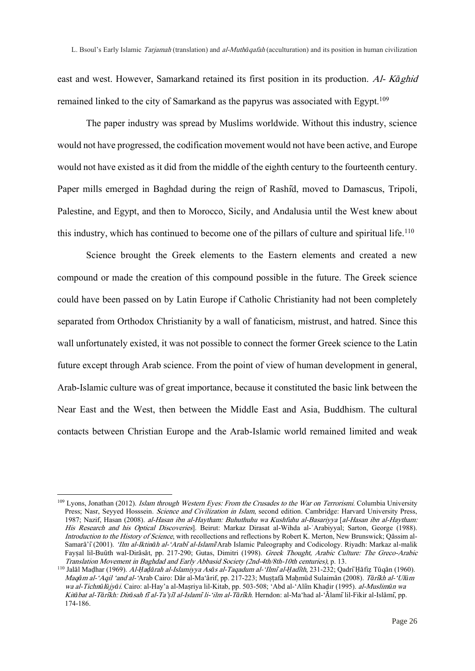east and west. However, Samarkand retained its first position in its production. Al- <sup>K</sup>*ā*ghid remained linked to the city of Samarkand as the papyrus was associated with Egypt.<sup>109</sup>

The paper industry was spread by Muslims worldwide. Without this industry, science would not have progressed, the codification movement would not have been active, and Europe would not have existed as it did from the middle of the eighth century to the fourteenth century. Paper mills emerged in Baghdad during the reign of Rashīd, moved to Damascus, Tripoli, Palestine, and Egypt, and then to Morocco, Sicily, and Andalusia until the West knew about this industry, which has continued to become one of the pillars of culture and spiritual life.<sup>110</sup>

Science brought the Greek elements to the Eastern elements and created a new compound or made the creation of this compound possible in the future. The Greek science could have been passed on by Latin Europe if Catholic Christianity had not been completely separated from Orthodox Christianity by a wall of fanaticism, mistrust, and hatred. Since this wall unfortunately existed, it was not possible to connect the former Greek science to the Latin future except through Arab science. From the point of view of human development in general, Arab-Islamic culture was of great importance, because it constituted the basic link between the Near East and the West, then between the Middle East and Asia, Buddhism. The cultural contacts between Christian Europe and the Arab-Islamic world remained limited and weak

<sup>&</sup>lt;sup>109</sup> Lyons, Jonathan (2012). *Islam through Western Eyes: From the Crusades to the War on Terrorismi*. Columbia University Press; Nasr, Seyyed Hosssein. Science and Civilization in Islam, second edition. Cambridge: Harvard University Press, 1987; Nazif, Hasan (2008). al-Hasan ibn al-Haytham: Buhuthuhu wa Kushfuhu al-Basariyya [al-Hasan ibn al-Haytham: His Research and his Optical Discoveries]. Beirut: Markaz Dirasat al-Wihda al-'Arabiyyal; Sarton, George (1988). Introduction to the History of Science, with recollections and reflections by Robert K. Merton, New Brunswick; Qāssim al-Samarā'ī(2001). 'Ilm al-Iktin*ā*h al-'Arabi*̄*al-Islami*̄*/Arab Islamic Paleography and Codicology. Riyadh: Markaz al-malik Fayṣal lil-Buūth wal-Dirāsāt, pp. 217-290; Gutas, Dimitri (1998). Greek Thought, Arabic Culture: The Greco-Arabic Translation Movement in Baghdad and Early Abbasid Society (2nd-4th/8th-10th centuries), p. 13.

<sup>110</sup> Jalāl Maḍhar (1969). Al-*Ḥ*a*ḍā*rah al-Islamiyya As*ā*s al-Taqadum al-'Ilmi*̄*al-*Ḥ*adi*̄*th, 231-232; QadrīḤāfiẓ Tūqān (1960). Maq*ā*m al-'Aqil 'and al-'Arab Cairo: Dār al-Ma'ārif, pp. 217-223; Muṣṭafā Maḥmūd Sulaimān (2008). T*ā*ri*̄*kh al-'Ul*ū*<sup>m</sup> wa al-Tichn*ū*l*ū*jy*ā*i. Cairo: al-Hay'a al-Maṣriya lil-Kitab, pp. 503-508; 'Abd al-'Alīm Khaḍir (1995). al-Muslim*ū*n wa Kit*ā*bat al-T*ā*ri*̄*kh: Dir*ā*sah fi*̄*al-Ta'*ṣ*i*̄*l al-Islami*̄*li-'ilm al-T*ā*ri*̄*kh. Herndon: al-Ma'had al-'Ālamīlil-Fikir al-Islāmī, pp. 174-186.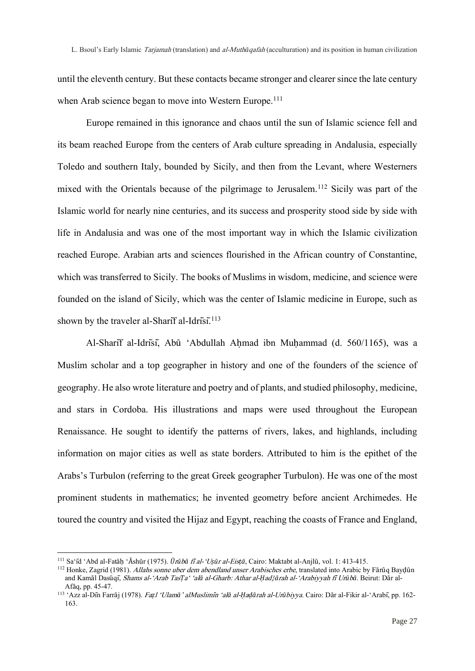until the eleventh century. But these contacts became stronger and clearer since the late century when Arab science began to move into Western Europe.<sup>111</sup>

Europe remained in this ignorance and chaos until the sun of Islamic science fell and its beam reached Europe from the centers of Arab culture spreading in Andalusia, especially Toledo and southern Italy, bounded by Sicily, and then from the Levant, where Westerners mixed with the Orientals because of the pilgrimage to Jerusalem.<sup>112</sup> Sicily was part of the Islamic world for nearly nine centuries, and its success and prosperity stood side by side with life in Andalusia and was one of the most important way in which the Islamic civilization reached Europe. Arabian arts and sciences flourished in the African country of Constantine, which was transferred to Sicily. The books of Muslims in wisdom, medicine, and science were founded on the island of Sicily, which was the center of Islamic medicine in Europe, such as shown by the traveler al-Sharif al-Idrisi.<sup>113</sup>

Al-Sharīf al-Idrīsī, Abū 'Abdullah Aḥmad ibn Muḥammad (d. 560/1165), was a Muslim scholar and a top geographer in history and one of the founders of the science of geography. He also wrote literature and poetry and of plants, and studied philosophy, medicine, and stars in Cordoba. His illustrations and maps were used throughout the European Renaissance. He sought to identify the patterns of rivers, lakes, and highlands, including information on major cities as well as state borders. Attributed to him is the epithet of the Arabs's Turbulon (referring to the great Greek geographer Turbulon). He was one of the most prominent students in mathematics; he invented geometry before ancient Archimedes. He toured the country and visited the Hijaz and Egypt, reaching the coasts of France and England,

<sup>111</sup> Sa'īd 'Abd al-Fatāḥ 'Āshūr (1975). *Ū*r*ū*b*ā* <sup>f</sup>i*̄*al-'U*ṣū*r al-Eis*ṭā*, Cairo: Maktabt al-Anjlū, vol. 1: 413-415.

<sup>&</sup>lt;sup>112</sup> Honke, Zagrid (1981). Allahs sonne uber dem abendland unser Arabisches erbe, translated into Arabic by Fārūq Bayḍūn and Kamāl Dasūqī, Shams al-'Arab Tas*Ṭ*a' 'al*ā* al-Gharb: Athar al-*Ḥ*ad}*ā*rah al-'Arabiyyah fi*̄*Ur*ū*b*ā*. Beirut: Dār al-Afāq, pp. 45-47.

<sup>113</sup> 'Azz al-Dīn Farrāj (1978). Fa*ẓ*l 'Ulam*ā*' alMuslimi*̄*n 'al*ā* al-*Ḥ*a*ḍā*rah al-Ur*ū*biyya. Cairo: Dār al-Fikir al-'Arabī, pp. 162- 163.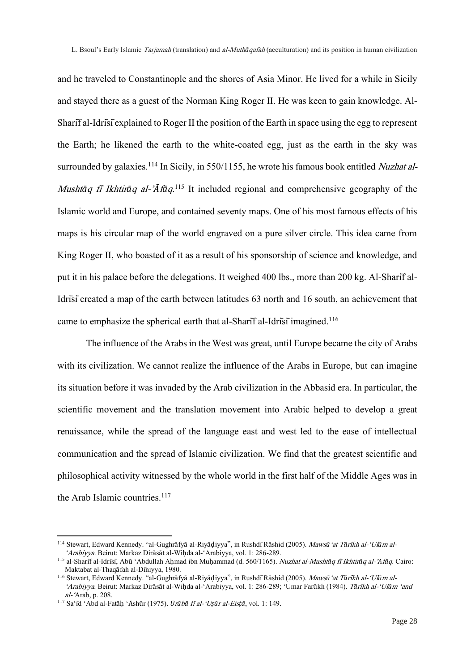and he traveled to Constantinople and the shores of Asia Minor. He lived for a while in Sicily and stayed there as a guest of the Norman King Roger II. He was keen to gain knowledge. Al-Sharīf al-Idrīsīexplained to Roger II the position of the Earth in space using the egg to represent the Earth; he likened the earth to the white-coated egg, just as the earth in the sky was surrounded by galaxies.<sup>114</sup> In Sicily, in 550/1155, he wrote his famous book entitled *Nuzhat al*-Musht*ā*q fi*̄*Ikhtir*ā*q al-'*Ā*f*ā*q. <sup>115</sup> It included regional and comprehensive geography of the Islamic world and Europe, and contained seventy maps. One of his most famous effects of his maps is his circular map of the world engraved on a pure silver circle. This idea came from King Roger II, who boasted of it as a result of his sponsorship of science and knowledge, and put it in his palace before the delegations. It weighed 400 lbs., more than 200 kg. Al-Sharīf al-Idrīsīcreated a map of the earth between latitudes 63 north and 16 south, an achievement that came to emphasize the spherical earth that al-Sharif al-Idrisi imagined.<sup>116</sup>

The influence of the Arabs in the West was great, until Europe became the city of Arabs with its civilization. We cannot realize the influence of the Arabs in Europe, but can imagine its situation before it was invaded by the Arab civilization in the Abbasid era. In particular, the scientific movement and the translation movement into Arabic helped to develop a great renaissance, while the spread of the language east and west led to the ease of intellectual communication and the spread of Islamic civilization. We find that the greatest scientific and philosophical activity witnessed by the whole world in the first half of the Middle Ages was in the Arab Islamic countries.<sup>117</sup>

<sup>114</sup> Stewart, Edward Kennedy. "al-Gughrāfyā al-Riyāḍiyya", in RushdīRāshid (2005). Maws*ū*'at T*ā*ri*̄*kh al-'Ul*ū*m al- 'Arabiyya. Beirut: Markaz Dirāsāt al-Wiḥda al-'Arabiyya, vol. 1: 286-289.

<sup>115</sup> al-Sharīf al-Idrīsī, Abū 'Abdullah Aḥmad ibn Muḥammad (d. 560/1165). Nuzhat al-Musht*ā*q fi*̄*Ikhtir*ā*q al-'*Ā*f*ā*q. Cairo: Maktabat al-Thaqāfah al-Dīniyya, 1980.

<sup>116</sup> Stewart, Edward Kennedy. "al-Gughrāfyā al-Riyāḍiyya", in RushdīRāshid (2005). Maws*ū*'at T*ā*ri*̄*kh al-'Ul*ū*m al- 'Arabiyya. Beirut: Markaz Dirāsāt al-Wiḥda al-'Arabiyya, vol. 1: 286-289; 'Umar Farūkh (1984). T*ā*ri*̄*kh al-'Ul*ū*m 'and al-'Arab, p. 208.

<sup>117</sup> Sa'īd 'Abd al-Fatāḥ 'Āshūr (1975). *Ū*r*ū*b*ā* <sup>f</sup>i*̄*al-'U*ṣū*r al-Eis*ṭā*, vol. 1: 149.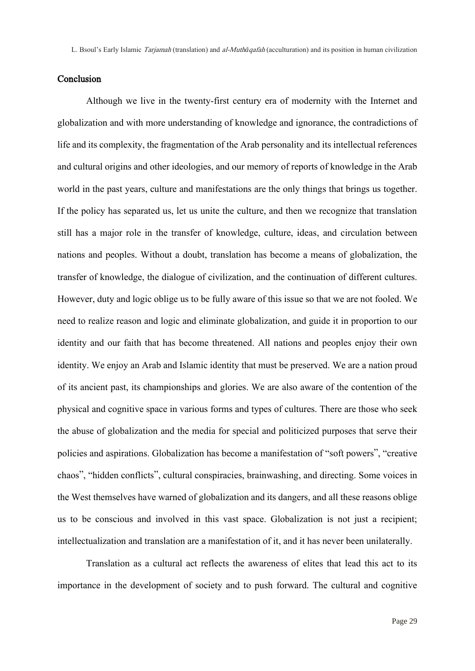## Conclusion

Although we live in the twenty-first century era of modernity with the Internet and globalization and with more understanding of knowledge and ignorance, the contradictions of life and its complexity, the fragmentation of the Arab personality and its intellectual references and cultural origins and other ideologies, and our memory of reports of knowledge in the Arab world in the past years, culture and manifestations are the only things that brings us together. If the policy has separated us, let us unite the culture, and then we recognize that translation still has a major role in the transfer of knowledge, culture, ideas, and circulation between nations and peoples. Without a doubt, translation has become a means of globalization, the transfer of knowledge, the dialogue of civilization, and the continuation of different cultures. However, duty and logic oblige us to be fully aware of this issue so that we are not fooled. We need to realize reason and logic and eliminate globalization, and guide it in proportion to our identity and our faith that has become threatened. All nations and peoples enjoy their own identity. We enjoy an Arab and Islamic identity that must be preserved. We are a nation proud of its ancient past, its championships and glories. We are also aware of the contention of the physical and cognitive space in various forms and types of cultures. There are those who seek the abuse of globalization and the media for special and politicized purposes that serve their policies and aspirations. Globalization has become a manifestation of "soft powers", "creative chaos", "hidden conflicts", cultural conspiracies, brainwashing, and directing. Some voices in the West themselves have warned of globalization and its dangers, and all these reasons oblige us to be conscious and involved in this vast space. Globalization is not just a recipient; intellectualization and translation are a manifestation of it, and it has never been unilaterally.

Translation as a cultural act reflects the awareness of elites that lead this act to its importance in the development of society and to push forward. The cultural and cognitive